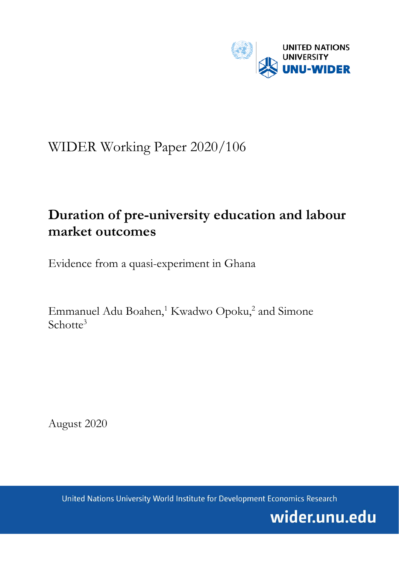

# WIDER Working Paper 2020/106

# **Duration of pre-university education and labour market outcomes**

Evidence from a quasi-experiment in Ghana

Emmanuel Adu Boahen,<sup>1</sup> Kwadwo Opoku,<sup>2</sup> and Simone Schotte<sup>3</sup>

August 2020

United Nations University World Institute for Development Economics Research

wider.unu.edu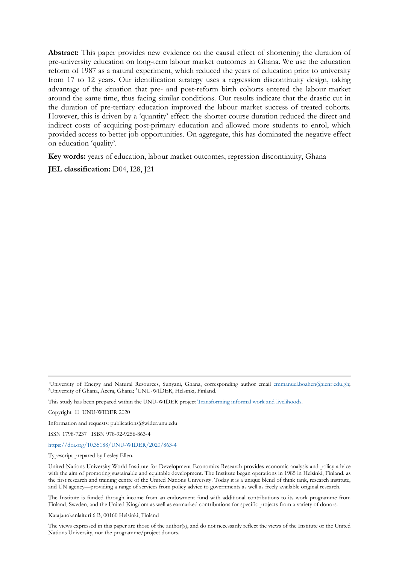**Abstract:** This paper provides new evidence on the causal effect of shortening the duration of pre-university education on long-term labour market outcomes in Ghana. We use the education reform of 1987 as a natural experiment, which reduced the years of education prior to university from 17 to 12 years. Our identification strategy uses a regression discontinuity design, taking advantage of the situation that pre- and post-reform birth cohorts entered the labour market around the same time, thus facing similar conditions. Our results indicate that the drastic cut in the duration of pre-tertiary education improved the labour market success of treated cohorts. However, this is driven by a 'quantity' effect: the shorter course duration reduced the direct and indirect costs of acquiring post-primary education and allowed more students to enrol, which provided access to better job opportunities. On aggregate, this has dominated the negative effect on education 'quality'.

**Key words:** years of education, labour market outcomes, regression discontinuity, Ghana

**JEL classification:** D04, I28, J21

Copyright © UNU-WIDER 2020

Information and requests: publications@wider.unu.edu

ISSN 1798-7237 ISBN 978-92-9256-863-4

<https://doi.org/10.35188/UNU-WIDER/2020/863-4>

Typescript prepared by Lesley Ellen.

The Institute is funded through income from an endowment fund with additional contributions to its work programme from Finland, Sweden, and the United Kingdom as well as earmarked contributions for specific projects from a variety of donors.

Katajanokanlaituri 6 B, 00160 Helsinki, Finland

The views expressed in this paper are those of the author(s), and do not necessarily reflect the views of the Institute or the United Nations University, nor the programme/project donors.

<sup>1</sup>University of Energy and Natural Resources, Sunyani, Ghana, corresponding author email [emmanuel.boahen@uenr.edu.gh;](file://hq-hel-fs01/group/PUBLI/WORKING%20PAPERS/3%20WPs%20returned%20to%20be%20read%20and%20numbered/emmanuel.boahen@uenr.edu.gh) 2University of Ghana, Accra, Ghana; 3UNU-WIDER, Helsinki, Finland.

This study has been prepared within the UNU-WIDER projec[t Transforming informal work and livelihoods.](https://www.wider.unu.edu/node/187589)

United Nations University World Institute for Development Economics Research provides economic analysis and policy advice with the aim of promoting sustainable and equitable development. The Institute began operations in 1985 in Helsinki, Finland, as the first research and training centre of the United Nations University. Today it is a unique blend of think tank, research institute, and UN agency—providing a range of services from policy advice to governments as well as freely available original research.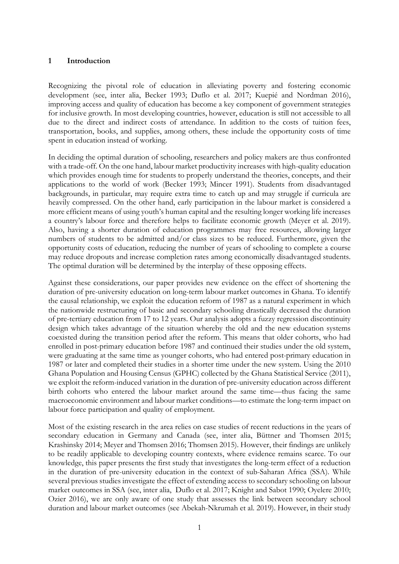## **1 Introduction**

Recognizing the pivotal role of education in alleviating poverty and fostering economic development (see, inter alia, Becker 1993; Duflo et al. 2017; Kuepié and Nordman 2016), improving access and quality of education has become a key component of government strategies for inclusive growth. In most developing countries, however, education is still not accessible to all due to the direct and indirect costs of attendance. In addition to the costs of tuition fees, transportation, books, and supplies, among others, these include the opportunity costs of time spent in education instead of working.

In deciding the optimal duration of schooling, researchers and policy makers are thus confronted with a trade-off. On the one hand, labour market productivity increases with high-quality education which provides enough time for students to properly understand the theories, concepts, and their applications to the world of work (Becker 1993; Mincer 1991). Students from disadvantaged backgrounds, in particular, may require extra time to catch up and may struggle if curricula are heavily compressed. On the other hand, early participation in the labour market is considered a more efficient means of using youth's human capital and the resulting longer working life increases a country's labour force and therefore helps to facilitate economic growth (Meyer et al. 2019). Also, having a shorter duration of education programmes may free resources, allowing larger numbers of students to be admitted and/or class sizes to be reduced. Furthermore, given the opportunity costs of education, reducing the number of years of schooling to complete a course may reduce dropouts and increase completion rates among economically disadvantaged students. The optimal duration will be determined by the interplay of these opposing effects.

Against these considerations, our paper provides new evidence on the effect of shortening the duration of pre-university education on long-term labour market outcomes in Ghana. To identify the causal relationship, we exploit the education reform of 1987 as a natural experiment in which the nationwide restructuring of basic and secondary schooling drastically decreased the duration of pre-tertiary education from 17 to 12 years. Our analysis adopts a fuzzy regression discontinuity design which takes advantage of the situation whereby the old and the new education systems coexisted during the transition period after the reform. This means that older cohorts, who had enrolled in post-primary education before 1987 and continued their studies under the old system, were graduating at the same time as younger cohorts, who had entered post-primary education in 1987 or later and completed their studies in a shorter time under the new system. Using the 2010 Ghana Population and Housing Census (GPHC) collected by the Ghana Statistical Service (2011), we exploit the reform-induced variation in the duration of pre-university education across different birth cohorts who entered the labour market around the same time—thus facing the same macroeconomic environment and labour market conditions—to estimate the long-term impact on labour force participation and quality of employment.

Most of the existing research in the area relies on case studies of recent reductions in the years of secondary education in Germany and Canada (see, inter alia, Büttner and Thomsen 2015; Krashinsky 2014; Meyer and Thomsen 2016; Thomsen 2015). However, their findings are unlikely to be readily applicable to developing country contexts, where evidence remains scarce. To our knowledge, this paper presents the first study that investigates the long-term effect of a reduction in the duration of pre-university education in the context of sub-Saharan Africa (SSA). While several previous studies investigate the effect of extending access to secondary schooling on labour market outcomes in SSA (see, inter alia, Duflo et al. 2017; Knight and Sabot 1990; Oyelere 2010; Ozier 2016), we are only aware of one study that assesses the link between secondary school duration and labour market outcomes (see Abekah-Nkrumah et al. 2019). However, in their study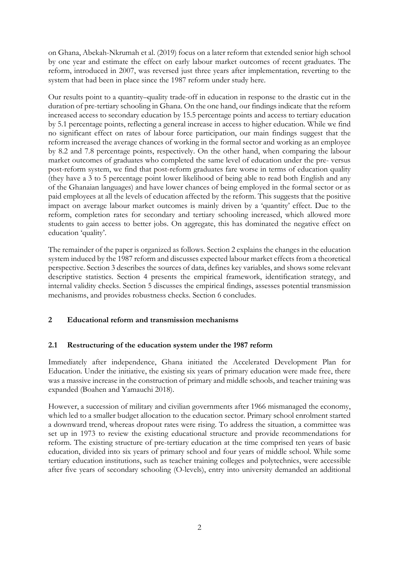on Ghana, Abekah-Nkrumah et al. (2019) focus on a later reform that extended senior high school by one year and estimate the effect on early labour market outcomes of recent graduates. The reform, introduced in 2007, was reversed just three years after implementation, reverting to the system that had been in place since the 1987 reform under study here.

Our results point to a quantity–quality trade-off in education in response to the drastic cut in the duration of pre-tertiary schooling in Ghana. On the one hand, our findings indicate that the reform increased access to secondary education by 15.5 percentage points and access to tertiary education by 5.1 percentage points, reflecting a general increase in access to higher education. While we find no significant effect on rates of labour force participation, our main findings suggest that the reform increased the average chances of working in the formal sector and working as an employee by 8.2 and 7.8 percentage points, respectively. On the other hand, when comparing the labour market outcomes of graduates who completed the same level of education under the pre- versus post-reform system, we find that post-reform graduates fare worse in terms of education quality (they have a 3 to 5 percentage point lower likelihood of being able to read both English and any of the Ghanaian languages) and have lower chances of being employed in the formal sector or as paid employees at all the levels of education affected by the reform. This suggests that the positive impact on average labour market outcomes is mainly driven by a 'quantity' effect. Due to the reform, completion rates for secondary and tertiary schooling increased, which allowed more students to gain access to better jobs. On aggregate, this has dominated the negative effect on education 'quality'.

The remainder of the paper is organized as follows. Section 2 explains the changes in the education system induced by the 1987 reform and discusses expected labour market effects from a theoretical perspective. Section 3 describes the sources of data, defines key variables, and shows some relevant descriptive statistics. Section 4 presents the empirical framework, identification strategy, and internal validity checks. Section 5 discusses the empirical findings, assesses potential transmission mechanisms, and provides robustness checks. Section 6 concludes.

## **2 Educational reform and transmission mechanisms**

## **2.1 Restructuring of the education system under the 1987 reform**

Immediately after independence, Ghana initiated the Accelerated Development Plan for Education. Under the initiative, the existing six years of primary education were made free, there was a massive increase in the construction of primary and middle schools, and teacher training was expanded (Boahen and Yamauchi 2018).

However, a succession of military and civilian governments after 1966 mismanaged the economy, which led to a smaller budget allocation to the education sector. Primary school enrolment started a downward trend, whereas dropout rates were rising. To address the situation, a committee was set up in 1973 to review the existing educational structure and provide recommendations for reform. The existing structure of pre-tertiary education at the time comprised ten years of basic education, divided into six years of primary school and four years of middle school. While some tertiary education institutions, such as teacher training colleges and polytechnics, were accessible after five years of secondary schooling (O-levels), entry into university demanded an additional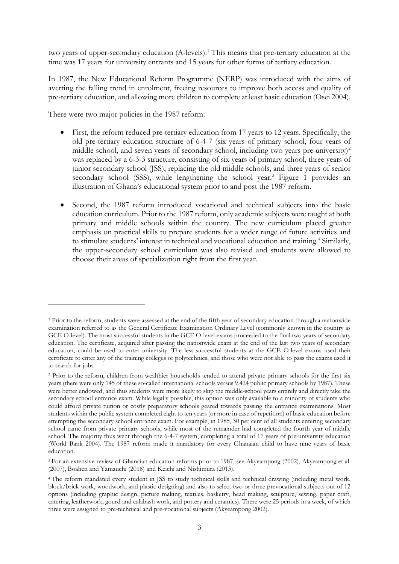two years of upper-secondary education (A-levels).<sup>[1](#page-4-0)</sup> This means that pre-tertiary education at the time was 17 years for university entrants and 15 years for other forms of tertiary education.

In 1987, the New Educational Reform Programme (NERP) was introduced with the aims of averting the falling trend in enrolment, freeing resources to improve both access and quality of pre-tertiary education, and allowing more children to complete at least basic education (Osei 2004).

There were two major policies in the 1987 reform:

- First, the reform reduced pre-tertiary education from 17 years to 12 years. Specifically, the old pre-tertiary education structure of 6-4-7 (six years of primary school, four years of middle school, and seven years of secondary school, including two years pre-university) $^{2}$  $^{2}$  $^{2}$ was replaced by a 6-3-3 structure, consisting of six years of primary school, three years of junior secondary school (JSS), replacing the old middle schools, and three years of senior secondary school (SSS), while lengthening the school year.<sup>[3](#page-4-2)</sup> Figure 1 provides an illustration of Ghana's educational system prior to and post the 1987 reform.
- Second, the 1987 reform introduced vocational and technical subjects into the basic education curriculum. Prior to the 1987 reform, only academic subjects were taught at both primary and middle schools within the country. The new curriculum placed greater emphasis on practical skills to prepare students for a wider range of future activities and to stimulate students' interest in technical and vocational education and training.<sup>[4](#page-4-3)</sup> Similarly, the upper-secondary school curriculum was also revised and students were allowed to choose their areas of specialization right from the first year.

<span id="page-4-0"></span><sup>1</sup> Prior to the reform, students were assessed at the end of the fifth year of secondary education through a nationwide examination referred to as the General Certificate Examination Ordinary Level (commonly known in the country as GCE O-level). The most successful students in the GCE O-level exams proceeded to the final two years of secondary education. The certificate, acquired after passing the nationwide exam at the end of the last two years of secondary education, could be used to enter university. The less-successful students at the GCE O-level exams used their certificate to enter any of the training colleges or polytechnics, and those who were not able to pass the exams used it to search for jobs.

<span id="page-4-1"></span><sup>&</sup>lt;sup>2</sup> Prior to the reform, children from wealthier households tended to attend private primary schools for the first six years (there were only 145 of these so-called international schools versus 9,424 public primary schools by 1987). These were better endowed, and thus students were more likely to skip the middle-school years entirely and directly take the secondary school entrance exam. While legally possible, this option was only available to a minority of students who could afford private tuition or costly preparatory schools geared towards passing the entrance examinations. Most students within the public system completed eight to ten years (or more in case of repetition) of basic education before attempting the secondary school entrance exam. For example, in 1985, 30 per cent of all students entering secondary school came from private primary schools, while most of the remainder had completed the fourth year of middle school. The majority thus went through the 6-4-7 system, completing a total of 17 years of pre-university education (World Bank 2004). The 1987 reform made it mandatory for every Ghanaian child to have nine years of basic education.

<span id="page-4-2"></span><sup>3</sup> For an extensive review of Ghanaian education reforms prior to 1987, see Akyeampong (2002), Akyeampong et al. (2007), Boahen and Yamauchi (2018) and Keichi and Nishimura (2015).

<span id="page-4-3"></span><sup>4</sup> The reform mandated every student in JSS to study technical skills and technical drawing (including metal work, block/brick work, woodwork, and plastic designing) and also to select two or three prevocational subjects out of 12 options (including graphic design, picture making, textiles, basketry, bead making, sculpture, sewing, paper craft, catering, leatherwork, gourd and calabash work, and pottery and ceramics). There were 25 periods in a week, of which three were assigned to pre-technical and pre-vocational subjects (Akyeampong 2002).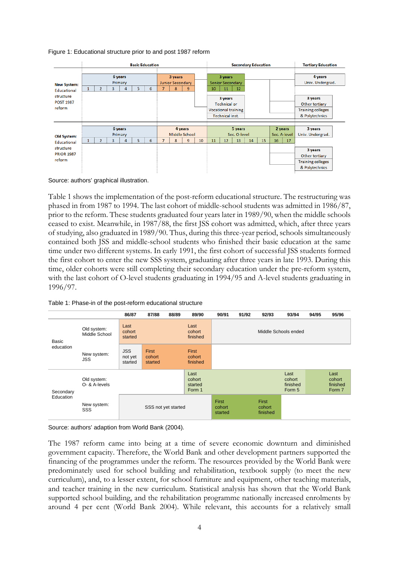Figure 1: Educational structure prior to and post 1987 reform

|                    | <b>Basic Education</b>                  |                         | <b>Secondary Education</b>             | <b>Tertiary Education</b> |  |
|--------------------|-----------------------------------------|-------------------------|----------------------------------------|---------------------------|--|
|                    | 6 years                                 | 3 years                 | 3 years                                | 4 years                   |  |
| <b>New System:</b> | Primary                                 | <b>Junior Secondary</b> | <b>Senior Secondary</b>                | Univ. Undergrad.          |  |
| Educational        | 5<br>$\overline{2}$<br>6<br>3<br>1<br>4 | 7<br>8<br>$\mathbf{9}$  | 10<br>11<br>12                         |                           |  |
| structure          |                                         |                         | 3 years                                | 3 years                   |  |
| <b>POST 1987</b>   |                                         |                         | <b>Technical or</b>                    | Other tertiary            |  |
| reform             |                                         |                         | <b>Vocational training</b>             | <b>Training colleges</b>  |  |
|                    |                                         |                         | Technical inst.                        | & Polytechnics            |  |
|                    |                                         |                         |                                        |                           |  |
|                    | 6 years                                 | 4 years                 | 5 years<br>2 years                     | 3 years                   |  |
| Old System:        | Primary                                 | Middle School           | Sec. O-level<br>Sec. A-level           | Univ. Undergrad.          |  |
| <b>Educational</b> | 5<br>6<br>$\overline{a}$<br>з<br>4      | 7<br>10<br>9<br>8       | 15<br>11<br>12<br>13<br>14<br>16<br>17 |                           |  |
| structure          |                                         |                         |                                        | 3 years                   |  |
| <b>PRIOR 1987</b>  |                                         |                         |                                        | Other tertiary            |  |
| reform             |                                         |                         |                                        | <b>Training colleges</b>  |  |
|                    |                                         |                         |                                        | & Polytechnics            |  |

Source: authors' graphical illustration.

Table 1 shows the implementation of the post-reform educational structure. The restructuring was phased in from 1987 to 1994. The last cohort of middle-school students was admitted in 1986/87, prior to the reform. These students graduated four years later in 1989/90, when the middle schools ceased to exist. Meanwhile, in 1987/88, the first JSS cohort was admitted, which, after three years of studying, also graduated in 1989/90. Thus, during this three-year period, schools simultaneously contained both JSS and middle-school students who finished their basic education at the same time under two different systems. In early 1991, the first cohort of successful JSS students formed the first cohort to enter the new SSS system, graduating after three years in late 1993. During this time, older cohorts were still completing their secondary education under the pre-reform system, with the last cohort of O-level students graduating in 1994/95 and A-level students graduating in 1996/97.

|           |                                                           | 86/87                            | 87/88                      | 88/89 | 89/90                               | 90/91                      | 91/92                | 92/93                              | 93/94                                | 94/95 | 95/96                                |
|-----------|-----------------------------------------------------------|----------------------------------|----------------------------|-------|-------------------------------------|----------------------------|----------------------|------------------------------------|--------------------------------------|-------|--------------------------------------|
| Basic     | Last<br>Old system:<br>cohort<br>Middle School<br>started |                                  | Last<br>cohort<br>finished |       |                                     |                            | Middle Schools ended |                                    |                                      |       |                                      |
| education | New system:<br>JSS                                        | <b>JSS</b><br>not yet<br>started | First<br>cohort<br>started |       | <b>First</b><br>cohort<br>finished  |                            |                      |                                    |                                      |       |                                      |
| Secondary | Old system:<br>O- & A-levels                              |                                  |                            |       | Last<br>cohort<br>started<br>Form 1 |                            |                      |                                    | Last<br>cohort<br>finished<br>Form 5 |       | Last<br>cohort<br>finished<br>Form 7 |
| Education | New system:<br>SSS                                        |                                  | SSS not yet started        |       |                                     | First<br>cohort<br>started |                      | <b>First</b><br>cohort<br>finished |                                      |       |                                      |

Table 1: Phase-in of the post-reform educational structure

Source: authors' adaption from World Bank (2004).

The 1987 reform came into being at a time of severe economic downturn and diminished government capacity. Therefore, the World Bank and other development partners supported the financing of the programmes under the reform. The resources provided by the World Bank were predominately used for school building and rehabilitation, textbook supply (to meet the new curriculum), and, to a lesser extent, for school furniture and equipment, other teaching materials, and teacher training in the new curriculum. Statistical analysis has shown that the World Bank supported school building, and the rehabilitation programme nationally increased enrolments by around 4 per cent (World Bank 2004). While relevant, this accounts for a relatively small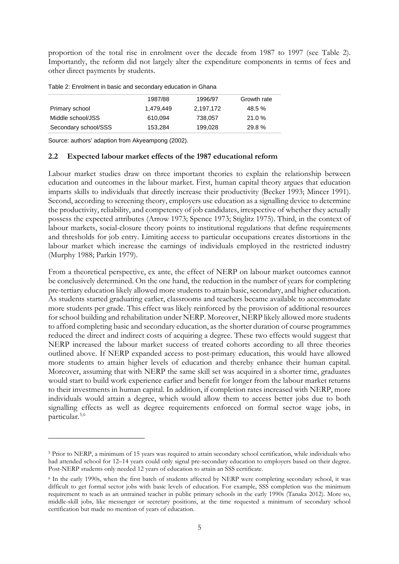proportion of the total rise in enrolment over the decade from 1987 to 1997 (see Table 2). Importantly, the reform did not largely alter the expenditure components in terms of fees and other direct payments by students.

|                      | 1987/88   | 1996/97   | Growth rate |
|----------------------|-----------|-----------|-------------|
| Primary school       | 1.479.449 | 2.197.172 | 48.5 %      |
| Middle school/JSS    | 610.094   | 738.057   | 21.0%       |
| Secondary school/SSS | 153.284   | 199.028   | 29.8%       |

Source: authors' adaption from Akyeampong (2002).

#### **2.2 Expected labour market effects of the 1987 educational reform**

Labour market studies draw on three important theories to explain the relationship between education and outcomes in the labour market. First, human capital theory argues that education imparts skills to individuals that directly increase their productivity (Becker 1993; Mincer 1991). Second, according to screening theory, employers use education as a signalling device to determine the productivity, reliability, and competency of job candidates, irrespective of whether they actually possess the expected attributes (Arrow 1973; Spence 1973; Stiglitz 1975). Third, in the context of labour markets, social-closure theory points to institutional regulations that define requirements and thresholds for job entry. Limiting access to particular occupations creates distortions in the labour market which increase the earnings of individuals employed in the restricted industry (Murphy 1988; Parkin 1979).

From a theoretical perspective, ex ante, the effect of NERP on labour market outcomes cannot be conclusively determined. On the one hand, the reduction in the number of years for completing pre-tertiary education likely allowed more students to attain basic, secondary, and higher education. As students started graduating earlier, classrooms and teachers became available to accommodate more students per grade. This effect was likely reinforced by the provision of additional resources for school building and rehabilitation under NERP. Moreover, NERP likely allowed more students to afford completing basic and secondary education, as the shorter duration of course programmes reduced the direct and indirect costs of acquiring a degree. These two effects would suggest that NERP increased the labour market success of treated cohorts according to all three theories outlined above. If NERP expanded access to post-primary education, this would have allowed more students to attain higher levels of education and thereby enhance their human capital. Moreover, assuming that with NERP the same skill set was acquired in a shorter time, graduates would start to build work experience earlier and benefit for longer from the labour market returns to their investments in human capital. In addition, if completion rates increased with NERP, more individuals would attain a degree, which would allow them to access better jobs due to both signalling effects as well as degree requirements enforced on formal sector wage jobs, in particular.<sup>[5](#page-6-0),[6](#page-6-1)</sup>

<span id="page-6-0"></span><sup>5</sup> Prior to NERP, a minimum of 15 years was required to attain secondary school certification, while individuals who had attended school for 12–14 years could only signal pre-secondary education to employers based on their degree. Post-NERP students only needed 12 years of education to attain an SSS certificate.

<span id="page-6-1"></span><sup>6</sup> In the early 1990s, when the first batch of students affected by NERP were completing secondary school, it was difficult to get formal sector jobs with basic levels of education. For example, SSS completion was the minimum requirement to teach as an untrained teacher in public primary schools in the early 1990s (Tanaka 2012). More so, middle-skill jobs, like messenger or secretary positions, at the time requested a minimum of secondary school certification but made no mention of years of education.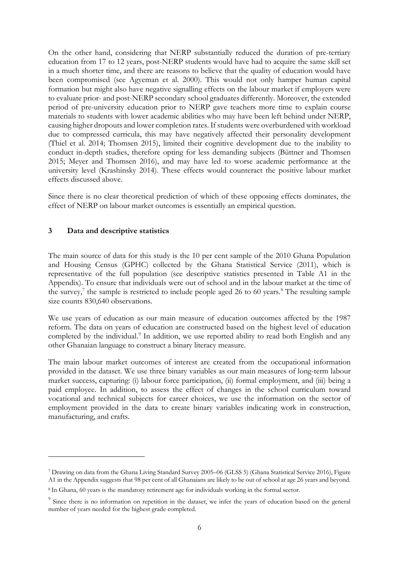On the other hand, considering that NERP substantially reduced the duration of pre-tertiary education from 17 to 12 years, post-NERP students would have had to acquire the same skill set in a much shorter time, and there are reasons to believe that the quality of education would have been compromised (see Agyeman et al. 2000). This would not only hamper human capital formation but might also have negative signalling effects on the labour market if employers were to evaluate prior- and post-NERP secondary school graduates differently. Moreover, the extended period of pre-university education prior to NERP gave teachers more time to explain course materials to students with lower academic abilities who may have been left behind under NERP, causing higher dropouts and lower completion rates. If students were overburdened with workload due to compressed curricula, this may have negatively affected their personality development (Thiel et al. 2014; Thomsen 2015), limited their cognitive development due to the inability to conduct in-depth studies, therefore opting for less demanding subjects (Büttner and Thomsen 2015; Meyer and Thomsen 2016), and may have led to worse academic performance at the university level (Krashinsky 2014). These effects would counteract the positive labour market effects discussed above.

Since there is no clear theoretical prediction of which of these opposing effects dominates, the effect of NERP on labour market outcomes is essentially an empirical question.

## **3 Data and descriptive statistics**

The main source of data for this study is the 10 per cent sample of the 2010 Ghana Population and Housing Census (GPHC) collected by the Ghana Statistical Service (2011), which is representative of the full population (see descriptive statistics presented in Table A1 in the Appendix). To ensure that individuals were out of school and in the labour market at the time of the survey,<sup>[7](#page-7-0)</sup> the sample is restricted to include people aged 26 to 60 years.<sup>[8](#page-7-1)</sup> The resulting sample size counts 830,640 observations.

We use years of education as our main measure of education outcomes affected by the 1987 reform. The data on years of education are constructed based on the highest level of education completed by the individual.<sup>[9](#page-7-2)</sup> In addition, we use reported ability to read both English and any other Ghanaian language to construct a binary literacy measure.

The main labour market outcomes of interest are created from the occupational information provided in the dataset. We use three binary variables as our main measures of long-term labour market success, capturing: (i) labour force participation, (ii) formal employment, and (iii) being a paid employee. In addition, to assess the effect of changes in the school curriculum toward vocational and technical subjects for career choices, we use the information on the sector of employment provided in the data to create binary variables indicating work in construction, manufacturing, and crafts.

<span id="page-7-0"></span><sup>7</sup> Drawing on data from the Ghana Living Standard Survey 2005–06 (GLSS 5) (Ghana Statistical Service 2016), Figure A1 in the Appendix suggests that 98 per cent of all Ghanaians are likely to be out of school at age 26 years and beyond.

<span id="page-7-1"></span><sup>8</sup> In Ghana, 60 years is the mandatory retirement age for individuals working in the formal sector.

<span id="page-7-2"></span><sup>&</sup>lt;sup>9</sup> Since there is no information on repetition in the dataset, we infer the years of education based on the general number of years needed for the highest grade completed.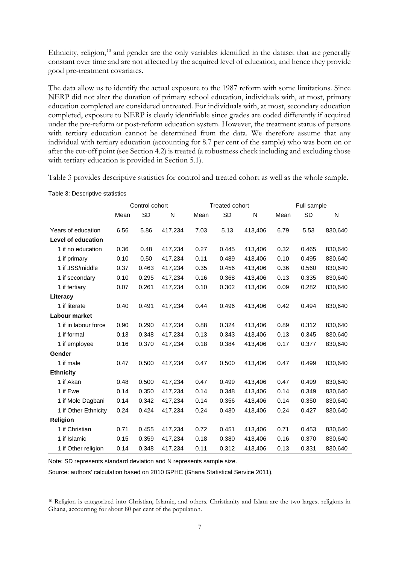Ethnicity, religion,<sup>[10](#page-8-0)</sup> and gender are the only variables identified in the dataset that are generally constant over time and are not affected by the acquired level of education, and hence they provide good pre-treatment covariates.

The data allow us to identify the actual exposure to the 1987 reform with some limitations. Since NERP did not alter the duration of primary school education, individuals with, at most, primary education completed are considered untreated. For individuals with, at most, secondary education completed, exposure to NERP is clearly identifiable since grades are coded differently if acquired under the pre-reform or post-reform education system. However, the treatment status of persons with tertiary education cannot be determined from the data. We therefore assume that any individual with tertiary education (accounting for 8.7 per cent of the sample) who was born on or after the cut-off point (see Section 4.2) is treated (a robustness check including and excluding those with tertiary education is provided in Section 5.1).

Table 3 provides descriptive statistics for control and treated cohort as well as the whole sample.

|                           | Control cohort |           |         | <b>Treated cohort</b> |           | Full sample |      |       |         |
|---------------------------|----------------|-----------|---------|-----------------------|-----------|-------------|------|-------|---------|
|                           | Mean           | <b>SD</b> | N       | Mean                  | <b>SD</b> | N           | Mean | SD    | N       |
| Years of education        | 6.56           | 5.86      | 417,234 | 7.03                  | 5.13      | 413,406     | 6.79 | 5.53  | 830,640 |
| <b>Level of education</b> |                |           |         |                       |           |             |      |       |         |
| 1 if no education         | 0.36           | 0.48      | 417,234 | 0.27                  | 0.445     | 413,406     | 0.32 | 0.465 | 830,640 |
| 1 if primary              | 0.10           | 0.50      | 417,234 | 0.11                  | 0.489     | 413,406     | 0.10 | 0.495 | 830,640 |
| 1 if JSS/middle           | 0.37           | 0.463     | 417,234 | 0.35                  | 0.456     | 413,406     | 0.36 | 0.560 | 830,640 |
| 1 if secondary            | 0.10           | 0.295     | 417,234 | 0.16                  | 0.368     | 413,406     | 0.13 | 0.335 | 830,640 |
| 1 if tertiary             | 0.07           | 0.261     | 417,234 | 0.10                  | 0.302     | 413,406     | 0.09 | 0.282 | 830,640 |
| Literacy                  |                |           |         |                       |           |             |      |       |         |
| 1 if literate             | 0.40           | 0.491     | 417,234 | 0.44                  | 0.496     | 413,406     | 0.42 | 0.494 | 830,640 |
| Labour market             |                |           |         |                       |           |             |      |       |         |
| 1 if in labour force      | 0.90           | 0.290     | 417,234 | 0.88                  | 0.324     | 413,406     | 0.89 | 0.312 | 830,640 |
| 1 if formal               | 0.13           | 0.348     | 417,234 | 0.13                  | 0.343     | 413,406     | 0.13 | 0.345 | 830,640 |
| 1 if employee             | 0.16           | 0.370     | 417,234 | 0.18                  | 0.384     | 413,406     | 0.17 | 0.377 | 830,640 |
| Gender                    |                |           |         |                       |           |             |      |       |         |
| 1 if male                 | 0.47           | 0.500     | 417,234 | 0.47                  | 0.500     | 413,406     | 0.47 | 0.499 | 830,640 |
| <b>Ethnicity</b>          |                |           |         |                       |           |             |      |       |         |
| 1 if Akan                 | 0.48           | 0.500     | 417,234 | 0.47                  | 0.499     | 413,406     | 0.47 | 0.499 | 830,640 |
| 1 if Ewe                  | 0.14           | 0.350     | 417,234 | 0.14                  | 0.348     | 413,406     | 0.14 | 0.349 | 830,640 |
| 1 if Mole Dagbani         | 0.14           | 0.342     | 417,234 | 0.14                  | 0.356     | 413,406     | 0.14 | 0.350 | 830,640 |
| 1 if Other Ethnicity      | 0.24           | 0.424     | 417,234 | 0.24                  | 0.430     | 413,406     | 0.24 | 0.427 | 830,640 |
| Religion                  |                |           |         |                       |           |             |      |       |         |
| 1 if Christian            | 0.71           | 0.455     | 417,234 | 0.72                  | 0.451     | 413,406     | 0.71 | 0.453 | 830,640 |
| 1 if Islamic              | 0.15           | 0.359     | 417,234 | 0.18                  | 0.380     | 413,406     | 0.16 | 0.370 | 830,640 |
| 1 if Other religion       | 0.14           | 0.348     | 417,234 | 0.11                  | 0.312     | 413,406     | 0.13 | 0.331 | 830,640 |

Table 3: Descriptive statistics

Note: SD represents standard deviation and N represents sample size.

<span id="page-8-0"></span><sup>10</sup> Religion is categorized into Christian, Islamic, and others. Christianity and Islam are the two largest religions in Ghana, accounting for about 80 per cent of the population.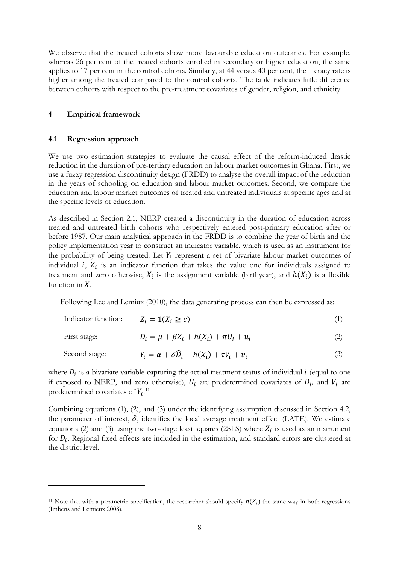We observe that the treated cohorts show more favourable education outcomes. For example, whereas 26 per cent of the treated cohorts enrolled in secondary or higher education, the same applies to 17 per cent in the control cohorts. Similarly, at 44 versus 40 per cent, the literacy rate is higher among the treated compared to the control cohorts. The table indicates little difference between cohorts with respect to the pre-treatment covariates of gender, religion, and ethnicity.

#### **4 Empirical framework**

#### **4.1 Regression approach**

We use two estimation strategies to evaluate the causal effect of the reform-induced drastic reduction in the duration of pre-tertiary education on labour market outcomes in Ghana. First, we use a fuzzy regression discontinuity design (FRDD) to analyse the overall impact of the reduction in the years of schooling on education and labour market outcomes. Second, we compare the education and labour market outcomes of treated and untreated individuals at specific ages and at the specific levels of education.

As described in Section 2.1, NERP created a discontinuity in the duration of education across treated and untreated birth cohorts who respectively entered post-primary education after or before 1987. Our main analytical approach in the FRDD is to combine the year of birth and the policy implementation year to construct an indicator variable, which is used as an instrument for the probability of being treated. Let  $Y_i$  represent a set of bivariate labour market outcomes of individual  $i$ ,  $Z_i$  is an indicator function that takes the value one for individuals assigned to treatment and zero otherwise,  $X_i$  is the assignment variable (birthyear), and  $h(X_i)$  is a flexible function in  $X$ .

Following Lee and Lemiux (2010), the data generating process can then be expressed as:

| Indicator function: | $Z_i = 1(X_i \ge c)$                                            |     |
|---------------------|-----------------------------------------------------------------|-----|
| First stage:        | $D_i = \mu + \beta Z_i + h(X_i) + \pi U_i + u_i$                |     |
| Second stage:       | $Y_i = \alpha + \delta \widehat{D}_i + h(X_i) + \tau V_i + v_i$ | (3) |

where  $D_i$  is a bivariate variable capturing the actual treatment status of individual  $i$  (equal to one if exposed to NERP, and zero otherwise),  $U_i$  are predetermined covariates of  $D_i$ , and  $V_i$  are predetermined covariates of  $Y_i$ .<sup>[11](#page-9-0)</sup>

Combining equations (1), (2), and (3) under the identifying assumption discussed in Section 4.2, the parameter of interest,  $\delta$ , identifies the local average treatment effect (LATE). We estimate equations (2) and (3) using the two-stage least squares (2SLS) where  $Z_i$  is used as an instrument for  $D_i$ . Regional fixed effects are included in the estimation, and standard errors are clustered at the district level.

<span id="page-9-0"></span><sup>&</sup>lt;sup>11</sup> Note that with a parametric specification, the researcher should specify  $h(Z_i)$  the same way in both regressions (Imbens and Lemieux 2008).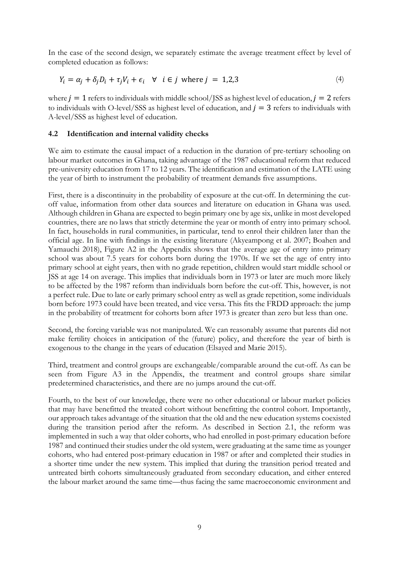In the case of the second design, we separately estimate the average treatment effect by level of completed education as follows:

$$
Y_i = \alpha_j + \delta_j D_i + \tau_j V_i + \epsilon_i \quad \forall \quad i \in j \text{ where } j = 1, 2, 3
$$
 (4)

where  $j = 1$  refers to individuals with middle school/JSS as highest level of education,  $j = 2$  refers to individuals with O-level/SSS as highest level of education, and  $j = 3$  refers to individuals with A-level/SSS as highest level of education.

## **4.2 Identification and internal validity checks**

We aim to estimate the causal impact of a reduction in the duration of pre-tertiary schooling on labour market outcomes in Ghana, taking advantage of the 1987 educational reform that reduced pre-university education from 17 to 12 years. The identification and estimation of the LATE using the year of birth to instrument the probability of treatment demands five assumptions.

First, there is a discontinuity in the probability of exposure at the cut-off. In determining the cutoff value, information from other data sources and literature on education in Ghana was used. Although children in Ghana are expected to begin primary one by age six, unlike in most developed countries, there are no laws that strictly determine the year or month of entry into primary school. In fact, households in rural communities, in particular, tend to enrol their children later than the official age. In line with findings in the existing literature (Akyeampong et al. 2007; Boahen and Yamauchi 2018), Figure A2 in the Appendix shows that the average age of entry into primary school was about 7.5 years for cohorts born during the 1970s. If we set the age of entry into primary school at eight years, then with no grade repetition, children would start middle school or JSS at age 14 on average. This implies that individuals born in 1973 or later are much more likely to be affected by the 1987 reform than individuals born before the cut-off. This, however, is not a perfect rule. Due to late or early primary school entry as well as grade repetition, some individuals born before 1973 could have been treated, and vice versa. This fits the FRDD approach: the jump in the probability of treatment for cohorts born after 1973 is greater than zero but less than one.

Second, the forcing variable was not manipulated. We can reasonably assume that parents did not make fertility choices in anticipation of the (future) policy, and therefore the year of birth is exogenous to the change in the years of education (Elsayed and Marie 2015).

Third, treatment and control groups are exchangeable/comparable around the cut-off. As can be seen from Figure A3 in the Appendix, the treatment and control groups share similar predetermined characteristics, and there are no jumps around the cut-off.

Fourth, to the best of our knowledge, there were no other educational or labour market policies that may have benefitted the treated cohort without benefitting the control cohort. Importantly, our approach takes advantage of the situation that the old and the new education systems coexisted during the transition period after the reform. As described in Section 2.1, the reform was implemented in such a way that older cohorts, who had enrolled in post-primary education before 1987 and continued their studies under the old system, were graduating at the same time as younger cohorts, who had entered post-primary education in 1987 or after and completed their studies in a shorter time under the new system. This implied that during the transition period treated and untreated birth cohorts simultaneously graduated from secondary education, and either entered the labour market around the same time—thus facing the same macroeconomic environment and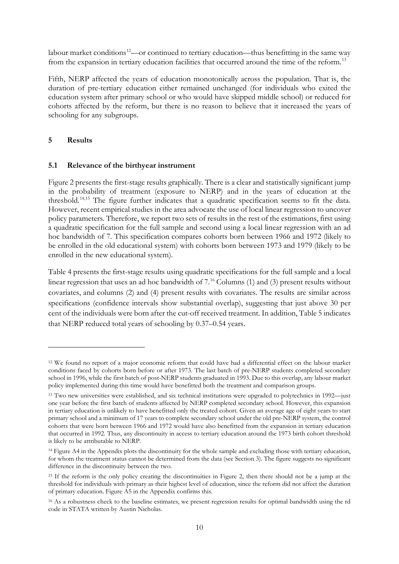labour market conditions<sup>[12](#page-11-0)</sup>—or continued to tertiary education—thus benefitting in the same way from the expansion in tertiary education facilities that occurred around the time of the reform.<sup>[13](#page-11-1)</sup>

Fifth, NERP affected the years of education monotonically across the population. That is, the duration of pre-tertiary education either remained unchanged (for individuals who exited the education system after primary school or who would have skipped middle school) or reduced for cohorts affected by the reform, but there is no reason to believe that it increased the years of schooling for any subgroups.

## **5 Results**

## **5.1 Relevance of the birthyear instrument**

Figure 2 presents the first-stage results graphically. There is a clear and statistically significant jump in the probability of treatment (exposure to NERP) and in the years of education at the threshold.[14,](#page-11-2)[15](#page-11-3) The figure further indicates that a quadratic specification seems to fit the data. However, recent empirical studies in the area advocate the use of local linear regression to uncover policy parameters. Therefore, we report two sets of results in the rest of the estimations, first using a quadratic specification for the full sample and second using a local linear regression with an ad hoc bandwidth of 7. This specification compares cohorts born between 1966 and 1972 (likely to be enrolled in the old educational system) with cohorts born between 1973 and 1979 (likely to be enrolled in the new educational system).

Table 4 presents the first-stage results using quadratic specifications for the full sample and a local linear regression that uses an ad hoc bandwidth of 7.<sup>[16](#page-11-4)</sup> Columns (1) and (3) present results without covariates, and columns (2) and (4) present results with covariates. The results are similar across specifications (confidence intervals show substantial overlap), suggesting that just above 30 per cent of the individuals were born after the cut-off received treatment. In addition, Table 5 indicates that NERP reduced total years of schooling by 0.37–0.54 years.

<span id="page-11-0"></span><sup>12</sup> We found no report of a major economic reform that could have had a differential effect on the labour market conditions faced by cohorts born before or after 1973. The last batch of pre-NERP students completed secondary school in 1996, while the first batch of post-NERP students graduated in 1993. Due to this overlap, any labour market policy implemented during this time would have benefitted both the treatment and comparison groups.

<span id="page-11-1"></span><sup>13</sup> Two new universities were established, and six technical institutions were upgraded to polytechnics in 1992—just one year before the first batch of students affected by NERP completed secondary school. However, this expansion in tertiary education is unlikely to have benefitted only the treated cohort. Given an average age of eight years to start primary school and a minimum of 17 years to complete secondary school under the old pre-NERP system, the control cohorts that were born between 1966 and 1972 would have also benefitted from the expansion in tertiary education that occurred in 1992. Thus, any discontinuity in access to tertiary education around the 1973 birth cohort threshold is likely to be attributable to NERP.

<span id="page-11-2"></span><sup>&</sup>lt;sup>14</sup> Figure A4 in the Appendix plots the discontinuity for the whole sample and excluding those with tertiary education, for whom the treatment status cannot be determined from the data (see Section 3). The figure suggests no significant difference in the discontinuity between the two.

<span id="page-11-3"></span><sup>15</sup> If the reform is the only policy creating the discontinuities in Figure 2, then there should not be a jump at the threshold for individuals with primary as their highest level of education, since the reform did not affect the duration of primary education. Figure A5 in the Appendix confirms this.

<span id="page-11-4"></span><sup>&</sup>lt;sup>16</sup> As a robustness check to the baseline estimates, we present regression results for optimal bandwidth using the rd code in STATA written by Austin Nicholas.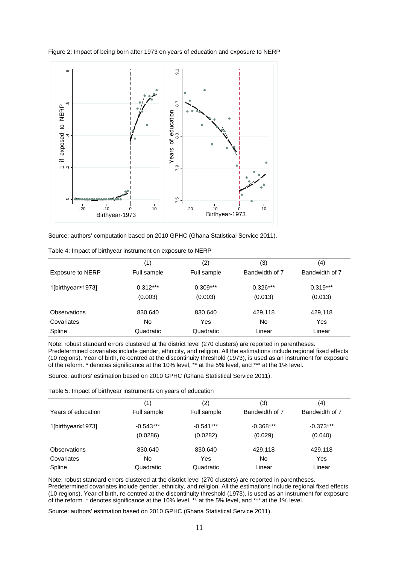

Figure 2: Impact of being born after 1973 on years of education and exposure to NERP

|  | Source: authors' computation based on 2010 GPHC (Ghana Statistical Service 2011). |  |  |  |
|--|-----------------------------------------------------------------------------------|--|--|--|
|--|-----------------------------------------------------------------------------------|--|--|--|

|                         | (1)         | (2)         | (3)            | (4)            |
|-------------------------|-------------|-------------|----------------|----------------|
| <b>Exposure to NERP</b> | Full sample | Full sample | Bandwidth of 7 | Bandwidth of 7 |
| 1[birthyear≥1973]       | $0.312***$  | $0.309***$  | $0.326***$     | $0.319***$     |
|                         | (0.003)     | (0.003)     | (0.013)        | (0.013)        |
| <b>Observations</b>     | 830,640     | 830.640     | 429.118        | 429,118        |
| Covariates              | No          | Yes         | No             | Yes            |
| Spline                  | Quadratic   | Quadratic   | Linear         | Linear         |

| Table 4: Impact of birthyear instrument on exposure to NERP |
|-------------------------------------------------------------|
|-------------------------------------------------------------|

Note: robust standard errors clustered at the district level (270 clusters) are reported in parentheses. Predetermined covariates include gender, ethnicity, and religion. All the estimations include regional fixed effects (10 regions). Year of birth, re-centred at the discontinuity threshold (1973), is used as an instrument for exposure of the reform. \* denotes significance at the 10% level, \*\* at the 5% level, and \*\*\* at the 1% level.

Source: authors' estimation based on 2010 GPHC (Ghana Statistical Service 2011).

Table 5: Impact of birthyear instruments on years of education

|                     | (1)         | (2)         | (3)            | (4)            |
|---------------------|-------------|-------------|----------------|----------------|
| Years of education  | Full sample | Full sample | Bandwidth of 7 | Bandwidth of 7 |
| 1[birthyear≥1973]   | $-0.543***$ | $-0.541***$ | $-0.368***$    | $-0.373***$    |
|                     | (0.0286)    | (0.0282)    | (0.029)        | (0.040)        |
| <b>Observations</b> | 830,640     | 830,640     | 429,118        | 429,118        |
| Covariates          | No          | Yes         | No             | Yes            |
| Spline              | Quadratic   | Quadratic   | Linear         | Linear         |

Note: robust standard errors clustered at the district level (270 clusters) are reported in parentheses. Predetermined covariates include gender, ethnicity, and religion. All the estimations include regional fixed effects (10 regions). Year of birth, re-centred at the discontinuity threshold (1973), is used as an instrument for exposure of the reform. \* denotes significance at the 10% level, \*\* at the 5% level, and \*\*\* at the 1% level.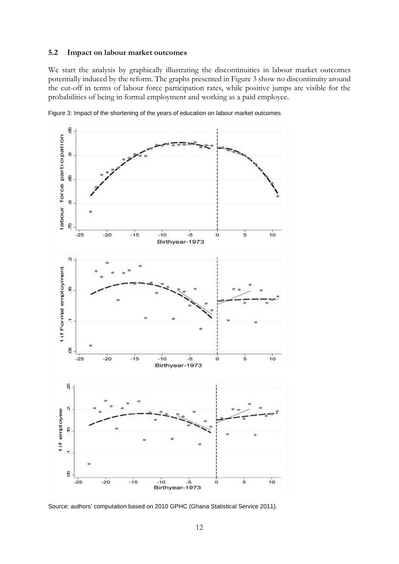#### **5.2 Impact on labour market outcomes**

We start the analysis by graphically illustrating the discontinuities in labour market outcomes potentially induced by the reform. The graphs presented in Figure 3 show no discontinuity around the cut-off in terms of labour force participation rates, while positive jumps are visible for the probabilities of being in formal employment and working as a paid employee.



Figure 3: Impact of the shortening of the years of education on labour market outcomes

Source: authors' computation based on 2010 GPHC (Ghana Statistical Service 2011).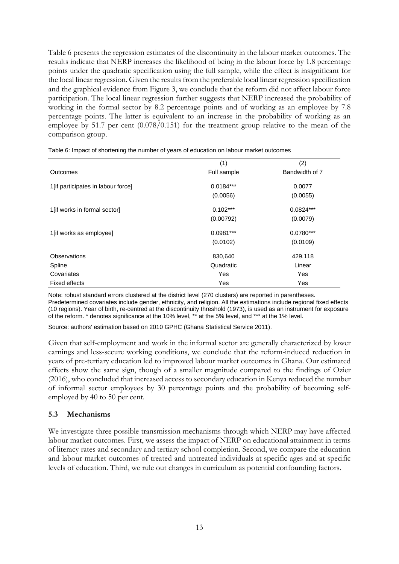Table 6 presents the regression estimates of the discontinuity in the labour market outcomes. The results indicate that NERP increases the likelihood of being in the labour force by 1.8 percentage points under the quadratic specification using the full sample, while the effect is insignificant for the local linear regression. Given the results from the preferable local linear regression specification and the graphical evidence from Figure 3, we conclude that the reform did not affect labour force participation. The local linear regression further suggests that NERP increased the probability of working in the formal sector by 8.2 percentage points and of working as an employee by 7.8 percentage points. The latter is equivalent to an increase in the probability of working as an employee by 51.7 per cent (0.078/0.151) for the treatment group relative to the mean of the comparison group.

|                                    | (1)         | (2)            |
|------------------------------------|-------------|----------------|
| Outcomes                           | Full sample | Bandwidth of 7 |
| 1[if participates in labour force] | $0.0184***$ | 0.0077         |
|                                    | (0.0056)    | (0.0055)       |
| 1[if works in formal sector]       | $0.102***$  | $0.0824***$    |
|                                    | (0.00792)   | (0.0079)       |
| 1[if works as employee]            | 0.0981***   | $0.0780***$    |
|                                    | (0.0102)    | (0.0109)       |
| <b>Observations</b>                | 830,640     | 429,118        |
| Spline                             | Quadratic   | Linear         |
| Covariates                         | Yes         | Yes            |
| Fixed effects                      | Yes         | Yes            |

Table 6: Impact of shortening the number of years of education on labour market outcomes

Note: robust standard errors clustered at the district level (270 clusters) are reported in parentheses. Predetermined covariates include gender, ethnicity, and religion. All the estimations include regional fixed effects (10 regions). Year of birth, re-centred at the discontinuity threshold (1973), is used as an instrument for exposure of the reform. \* denotes significance at the 10% level, \*\* at the 5% level, and \*\*\* at the 1% level.

Source: authors' estimation based on 2010 GPHC (Ghana Statistical Service 2011).

Given that self-employment and work in the informal sector are generally characterized by lower earnings and less-secure working conditions, we conclude that the reform-induced reduction in years of pre-tertiary education led to improved labour market outcomes in Ghana. Our estimated effects show the same sign, though of a smaller magnitude compared to the findings of Ozier (2016), who concluded that increased access to secondary education in Kenya reduced the number of informal sector employees by 30 percentage points and the probability of becoming selfemployed by 40 to 50 per cent.

#### **5.3 Mechanisms**

We investigate three possible transmission mechanisms through which NERP may have affected labour market outcomes. First, we assess the impact of NERP on educational attainment in terms of literacy rates and secondary and tertiary school completion. Second, we compare the education and labour market outcomes of treated and untreated individuals at specific ages and at specific levels of education. Third, we rule out changes in curriculum as potential confounding factors.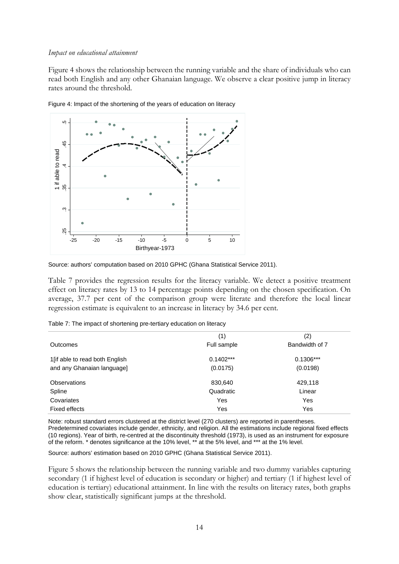#### *Impact on educational attainment*

Figure 4 shows the relationship between the running variable and the share of individuals who can read both English and any other Ghanaian language. We observe a clear positive jump in literacy rates around the threshold.



Figure 4: Impact of the shortening of the years of education on literacy

Table 7 provides the regression results for the literacy variable. We detect a positive treatment effect on literacy rates by 13 to 14 percentage points depending on the chosen specification. On average, 37.7 per cent of the comparison group were literate and therefore the local linear regression estimate is equivalent to an increase in literacy by 34.6 per cent.

| Table 7: The impact of shortening pre-tertiary education on literacy |  |
|----------------------------------------------------------------------|--|
|----------------------------------------------------------------------|--|

|                                 | (1)         | (2)            |
|---------------------------------|-------------|----------------|
| <b>Outcomes</b>                 | Full sample | Bandwidth of 7 |
| 1 [if able to read both English | $0.1402***$ | $0.1306***$    |
| and any Ghanaian language]      | (0.0175)    | (0.0198)       |
| <b>Observations</b>             | 830,640     | 429,118        |
| Spline                          | Quadratic   | Linear         |
| Covariates                      | Yes         | Yes            |
| Fixed effects                   | Yes         | Yes            |

Note: robust standard errors clustered at the district level (270 clusters) are reported in parentheses. Predetermined covariates include gender, ethnicity, and religion. All the estimations include regional fixed effects (10 regions). Year of birth, re-centred at the discontinuity threshold (1973), is used as an instrument for exposure of the reform. \* denotes significance at the 10% level, \*\* at the 5% level, and \*\*\* at the 1% level.

Source: authors' estimation based on 2010 GPHC (Ghana Statistical Service 2011).

Figure 5 shows the relationship between the running variable and two dummy variables capturing secondary (1 if highest level of education is secondary or higher) and tertiary (1 if highest level of education is tertiary) educational attainment. In line with the results on literacy rates, both graphs

Source: authors' computation based on 2010 GPHC (Ghana Statistical Service 2011).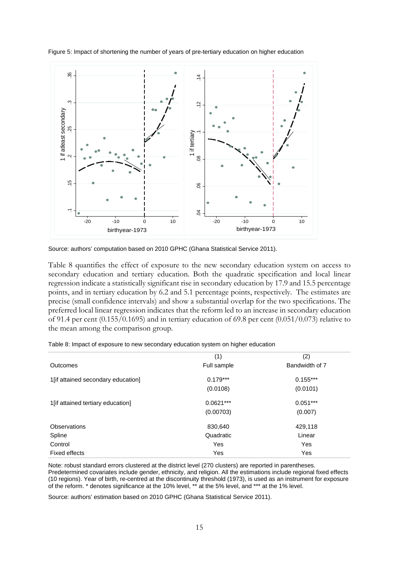

Figure 5: Impact of shortening the number of years of pre-tertiary education on higher education

Source: authors' computation based on 2010 GPHC (Ghana Statistical Service 2011).

Table 8 quantifies the effect of exposure to the new secondary education system on access to secondary education and tertiary education. Both the quadratic specification and local linear regression indicate a statistically significant rise in secondary education by 17.9 and 15.5 percentage points, and in tertiary education by 6.2 and 5.1 percentage points, respectively. The estimates are precise (small confidence intervals) and show a substantial overlap for the two specifications. The preferred local linear regression indicates that the reform led to an increase in secondary education of 91.4 per cent (0.155/0.1695) and in tertiary education of 69.8 per cent (0.051/0.073) relative to the mean among the comparison group.

|  | Table 8: Impact of exposure to new secondary education system on higher education |  |
|--|-----------------------------------------------------------------------------------|--|
|  |                                                                                   |  |

|                                    | (1)         | (2)            |
|------------------------------------|-------------|----------------|
| Outcomes                           | Full sample | Bandwidth of 7 |
| 1[if attained secondary education] | $0.179***$  | $0.155***$     |
|                                    | (0.0108)    | (0.0101)       |
| 1[if attained tertiary education]  | $0.0621***$ | $0.051***$     |
|                                    | (0.00703)   | (0.007)        |
| <b>Observations</b>                | 830,640     | 429,118        |
| Spline                             | Quadratic   | Linear         |
| Control                            | Yes         | Yes            |
| Fixed effects                      | Yes         | Yes            |

Note: robust standard errors clustered at the district level (270 clusters) are reported in parentheses. Predetermined covariates include gender, ethnicity, and religion. All the estimations include regional fixed effects (10 regions). Year of birth, re-centred at the discontinuity threshold (1973), is used as an instrument for exposure of the reform. \* denotes significance at the 10% level, \*\* at the 5% level, and \*\*\* at the 1% level.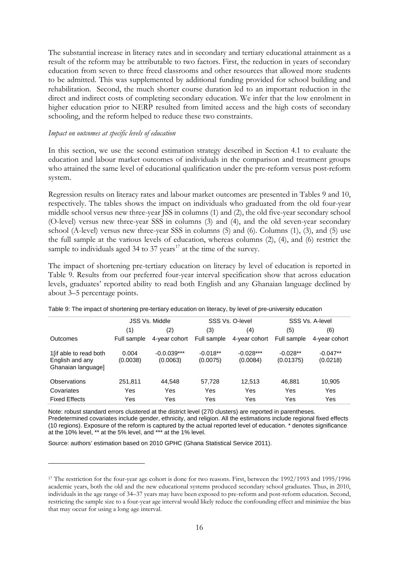The substantial increase in literacy rates and in secondary and tertiary educational attainment as a result of the reform may be attributable to two factors. First, the reduction in years of secondary education from seven to three freed classrooms and other resources that allowed more students to be admitted. This was supplemented by additional funding provided for school building and rehabilitation. Second, the much shorter course duration led to an important reduction in the direct and indirect costs of completing secondary education. We infer that the low enrolment in higher education prior to NERP resulted from limited access and the high costs of secondary schooling, and the reform helped to reduce these two constraints.

#### *Impact on outcomes at specific levels of education*

In this section, we use the second estimation strategy described in Section 4.1 to evaluate the education and labour market outcomes of individuals in the comparison and treatment groups who attained the same level of educational qualification under the pre-reform versus post-reform system.

Regression results on literacy rates and labour market outcomes are presented in Tables 9 and 10, respectively. The tables shows the impact on individuals who graduated from the old four-year middle school versus new three-year JSS in columns (1) and (2), the old five-year secondary school (O-level) versus new three-year SSS in columns (3) and (4), and the old seven-year secondary school (A-level) versus new three-year SSS in columns (5) and (6). Columns (1), (3), and (5) use the full sample at the various levels of education, whereas columns (2), (4), and (6) restrict the sample to individuals aged 34 to 37 years<sup>[17](#page-17-0)</sup> at the time of the survey.

The impact of shortening pre-tertiary education on literacy by level of education is reported in Table 9. Results from our preferred four-year interval specification show that across education levels, graduates' reported ability to read both English and any Ghanaian language declined by about 3–5 percentage points.

|                                                                  |                   | <b>JSS Vs. Middle</b>     |                        | SSS Vs. O-level         |                         | SSS Vs. A-level        |
|------------------------------------------------------------------|-------------------|---------------------------|------------------------|-------------------------|-------------------------|------------------------|
|                                                                  | (1)               | (2)                       | (3)                    | (4)                     | (5)                     | (6)                    |
| Outcomes                                                         | Full sample       | 4-year cohort             | Full sample            | 4-year cohort           | Full sample             | 4-year cohort          |
| 1 [if able to read both<br>English and any<br>Ghanaian language] | 0.004<br>(0.0038) | $-0.0.039***$<br>(0.0063) | $-0.018**$<br>(0.0075) | $-0.028***$<br>(0.0084) | $-0.028**$<br>(0.01375) | $-0.047**$<br>(0.0218) |
| Observations                                                     | 251,811           | 44.548                    | 57,728                 | 12,513                  | 46,881                  | 10,905                 |
| Covariates                                                       | Yes               | Yes                       | Yes                    | Yes                     | Yes                     | Yes                    |
| <b>Fixed Effects</b>                                             | Yes               | Yes                       | Yes                    | Yes                     | Yes                     | Yes                    |

|  | Table 9: The impact of shortening pre-tertiary education on literacy, by level of pre-university education |  |  |  |
|--|------------------------------------------------------------------------------------------------------------|--|--|--|
|  |                                                                                                            |  |  |  |

Note: robust standard errors clustered at the district level (270 clusters) are reported in parentheses. Predetermined covariates include gender, ethnicity, and religion. All the estimations include regional fixed effects (10 regions). Exposure of the reform is captured by the actual reported level of education. \* denotes significance at the 10% level, \*\* at the 5% level, and \*\*\* at the 1% level.

<span id="page-17-0"></span><sup>&</sup>lt;sup>17</sup> The restriction for the four-year age cohort is done for two reasons. First, between the 1992/1993 and 1995/1996 academic years, both the old and the new educational systems produced secondary school graduates. Thus, in 2010, individuals in the age range of 34–37 years may have been exposed to pre-reform and post-reform education. Second, restricting the sample size to a four-year age interval would likely reduce the confounding effect and minimize the bias that may occur for using a long age interval.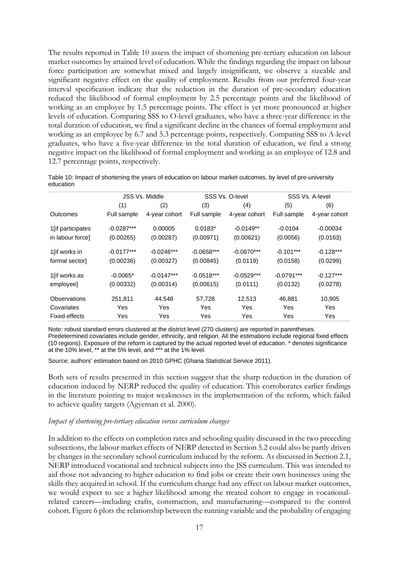The results reported in Table 10 assess the impact of shortening pre-tertiary education on labour market outcomes by attained level of education. While the findings regarding the impact on labour force participation are somewhat mixed and largely insignificant, we observe a sizeable and significant negative effect on the quality of employment. Results from our preferred four-year interval specification indicate that the reduction in the duration of pre-secondary education reduced the likelihood of formal employment by 2.5 percentage points and the likelihood of working as an employee by 1.5 percentage points. The effect is yet more pronounced at higher levels of education. Comparing SSS to O-level graduates, who have a three-year difference in the total duration of education, we find a significant decline in the chances of formal employment and working as an employee by 6.7 and 5.3 percentage points, respectively. Comparing SSS to A-level graduates, who have a five-year difference in the total duration of education, we find a strong negative impact on the likelihood of formal employment and working as an employee of 12.8 and 12.7 percentage points, respectively.

| Guucauon           |              |                       |              |                 |             |                 |
|--------------------|--------------|-----------------------|--------------|-----------------|-------------|-----------------|
|                    |              | <b>JSS Vs. Middle</b> |              | SSS Vs. O-level |             | SSS Vs. A-level |
|                    | (1)          | (2)                   | (3)          | (4)             | (5)         | (6)             |
| Outcomes           | Full sample  | 4-year cohort         | Full sample  | 4-year cohort   | Full sample | 4-year cohort   |
| 1 [if participates | $-0.0287***$ | 0.00005               | $0.0183*$    | $-0.0149**$     | $-0.0104$   | $-0.00034$      |
| in labour force]   | (0.00265)    | (0.00287)             | (0.00971)    | (0.00621)       | (0.0056)    | (0.0163)        |
| 1[if works in      | $-0.0177***$ | $-0.0246***$          | $-0.0658***$ | $-0.0670***$    | $-0.101***$ | $-0.128***$     |

formal sector] (0.00236) (0.00327) (0.00845) (0.0119) (0.0158) (0.0299)

1[if works as -0.0065\* -0.0147\*\*\* -0.0518\*\*\* -0.0529\*\*\* -0.0791\*\*\* -0.127\*\*\* employee] (0.00332) (0.00314) (0.00615) (0.0111) (0.0132) (0.0278)

Observations 251,811 44,548 57,728 12,513 46,881 10,905 Covariates Yes Yes Yes Yes Yes Yes Fixed effects Tes Yes Yes Yes Yes Yes Yes Yes Yes

Table 10: Impact of shortening the years of education on labour market outcomes, by level of pre-university education

Note: robust standard errors clustered at the district level (270 clusters) are reported in parentheses. Predetermined covariates include gender, ethnicity, and religion. All the estimations include regional fixed effects

(10 regions). Exposure of the reform is captured by the actual reported level of education. \* denotes significance at the 10% level, \*\* at the 5% level, and \*\*\* at the 1% level.

Source: authors' estimation based on 2010 GPHC (Ghana Statistical Service 2011).

Both sets of results presented in this section suggest that the sharp reduction in the duration of education induced by NERP reduced the quality of education. This corroborates earlier findings in the literature pointing to major weaknesses in the implementation of the reform, which failed to achieve quality targets (Agyeman et al. 2000).

#### *Impact of shortening pre-tertiary education versus curriculum changes*

In addition to the effects on completion rates and schooling quality discussed in the two preceding subsections, the labour market effects of NERP detected in Section 5.2 could also be partly driven by changes in the secondary school curriculum induced by the reform. As discussed in Section 2.1, NERP introduced vocational and technical subjects into the JSS curriculum. This was intended to aid those not advancing to higher education to find jobs or create their own businesses using the skills they acquired in school. If the curriculum change had any effect on labour market outcomes, we would expect to see a higher likelihood among the treated cohort to engage in vocationalrelated careers—including crafts, construction, and manufacturing—compared to the control cohort. Figure 6 plots the relationship between the running variable and the probability of engaging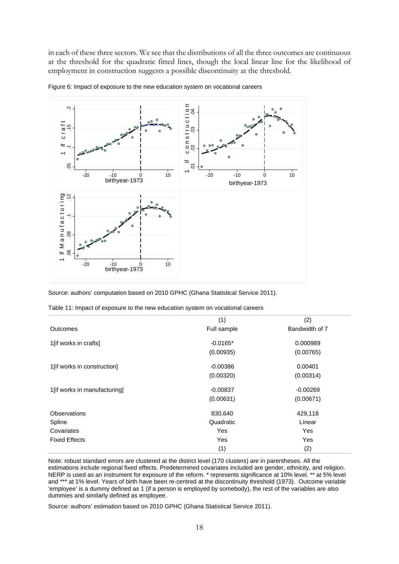in each of these three sectors. We see that the distributions of all the three outcomes are continuous at the threshold for the quadratic fitted lines, though the local linear line for the likelihood of employment in construction suggests a possible discontinuity at the threshold.



Figure 6: Impact of exposure to the new education system on vocational careers

Source: authors' computation based on 2010 GPHC (Ghana Statistical Service 2011).

|  | Table 11: Impact of exposure to the new education system on vocational careers |  |  |  |
|--|--------------------------------------------------------------------------------|--|--|--|
|  |                                                                                |  |  |  |

|                              | (1)         | (2)            |
|------------------------------|-------------|----------------|
| Outcomes                     | Full sample | Bandwidth of 7 |
| 1[if works in crafts]        | $-0.0165*$  | 0.000989       |
|                              | (0.00935)   | (0.00765)      |
| 1[if works in construction]  | $-0.00386$  | 0.00401        |
|                              | (0.00320)   | (0.00314)      |
| 1[if works in manufacturing] | $-0.00837$  | $-0.00269$     |
|                              | (0.00631)   | (0.00671)      |
| <b>Observations</b>          | 830,640     | 429,118        |
| Spline                       | Quadratic   | Linear         |
| Covariates                   | Yes         | Yes            |
| <b>Fixed Effects</b>         | Yes         | Yes            |
|                              | (1)         | (2)            |

Note: robust standard errors are clustered at the district level (170 clusters) are in parentheses. All the estimations include regional fixed effects. Predetermined covariates included are gender, ethnicity, and religion. NERP is used as an instrument for exposure of the reform. \* represents significance at 10% level. \*\* at 5% level and \*\*\* at 1% level. Years of birth have been re-centred at the discontinuity threshold (1973). Outcome variable 'employee' is a dummy defined as 1 (if a person is employed by somebody), the rest of the variables are also dummies and similarly defined as employee.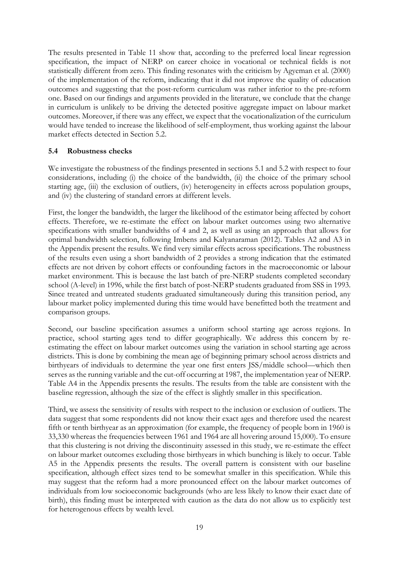The results presented in Table 11 show that, according to the preferred local linear regression specification, the impact of NERP on career choice in vocational or technical fields is not statistically different from zero. This finding resonates with the criticism by Agyeman et al. (2000) of the implementation of the reform, indicating that it did not improve the quality of education outcomes and suggesting that the post-reform curriculum was rather inferior to the pre-reform one. Based on our findings and arguments provided in the literature, we conclude that the change in curriculum is unlikely to be driving the detected positive aggregate impact on labour market outcomes. Moreover, if there was any effect, we expect that the vocationalization of the curriculum would have tended to increase the likelihood of self-employment, thus working against the labour market effects detected in Section 5.2.

## **5.4 Robustness checks**

We investigate the robustness of the findings presented in sections 5.1 and 5.2 with respect to four considerations, including (i) the choice of the bandwidth, (ii) the choice of the primary school starting age, (iii) the exclusion of outliers, (iv) heterogeneity in effects across population groups, and (iv) the clustering of standard errors at different levels.

First, the longer the bandwidth, the larger the likelihood of the estimator being affected by cohort effects. Therefore, we re-estimate the effect on labour market outcomes using two alternative specifications with smaller bandwidths of 4 and 2, as well as using an approach that allows for optimal bandwidth selection, following Imbens and Kalyanaraman (2012). Tables A2 and A3 in the Appendix present the results. We find very similar effects across specifications. The robustness of the results even using a short bandwidth of 2 provides a strong indication that the estimated effects are not driven by cohort effects or confounding factors in the macroeconomic or labour market environment. This is because the last batch of pre-NERP students completed secondary school (A-level) in 1996, while the first batch of post-NERP students graduated from SSS in 1993. Since treated and untreated students graduated simultaneously during this transition period, any labour market policy implemented during this time would have benefitted both the treatment and comparison groups.

Second, our baseline specification assumes a uniform school starting age across regions. In practice, school starting ages tend to differ geographically. We address this concern by reestimating the effect on labour market outcomes using the variation in school starting age across districts. This is done by combining the mean age of beginning primary school across districts and birthyears of individuals to determine the year one first enters JSS/middle school—which then serves as the running variable and the cut-off occurring at 1987, the implementation year of NERP. Table A4 in the Appendix presents the results. The results from the table are consistent with the baseline regression, although the size of the effect is slightly smaller in this specification.

Third, we assess the sensitivity of results with respect to the inclusion or exclusion of outliers. The data suggest that some respondents did not know their exact ages and therefore used the nearest fifth or tenth birthyear as an approximation (for example, the frequency of people born in 1960 is 33,330 whereas the frequencies between 1961 and 1964 are all hovering around 15,000). To ensure that this clustering is not driving the discontinuity assessed in this study, we re-estimate the effect on labour market outcomes excluding those birthyears in which bunching is likely to occur. Table A5 in the Appendix presents the results. The overall pattern is consistent with our baseline specification, although effect sizes tend to be somewhat smaller in this specification. While this may suggest that the reform had a more pronounced effect on the labour market outcomes of individuals from low socioeconomic backgrounds (who are less likely to know their exact date of birth), this finding must be interpreted with caution as the data do not allow us to explicitly test for heterogenous effects by wealth level.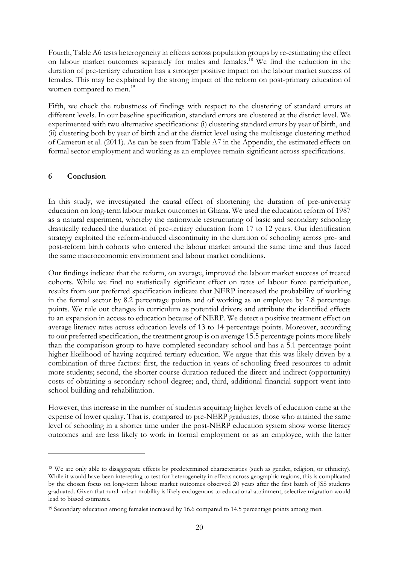Fourth, Table A6 tests heterogeneity in effects across population groups by re-estimating the effect on labour market outcomes separately for males and females.[18](#page-21-0) We find the reduction in the duration of pre-tertiary education has a stronger positive impact on the labour market success of females. This may be explained by the strong impact of the reform on post-primary education of women compared to men.<sup>[19](#page-21-1)</sup>

Fifth, we check the robustness of findings with respect to the clustering of standard errors at different levels. In our baseline specification, standard errors are clustered at the district level. We experimented with two alternative specifications: (i) clustering standard errors by year of birth, and (ii) clustering both by year of birth and at the district level using the multistage clustering method of Cameron et al. (2011). As can be seen from Table A7 in the Appendix, the estimated effects on formal sector employment and working as an employee remain significant across specifications.

## **6 Conclusion**

In this study, we investigated the causal effect of shortening the duration of pre-university education on long-term labour market outcomes in Ghana. We used the education reform of 1987 as a natural experiment, whereby the nationwide restructuring of basic and secondary schooling drastically reduced the duration of pre-tertiary education from 17 to 12 years. Our identification strategy exploited the reform-induced discontinuity in the duration of schooling across pre- and post-reform birth cohorts who entered the labour market around the same time and thus faced the same macroeconomic environment and labour market conditions.

Our findings indicate that the reform, on average, improved the labour market success of treated cohorts. While we find no statistically significant effect on rates of labour force participation, results from our preferred specification indicate that NERP increased the probability of working in the formal sector by 8.2 percentage points and of working as an employee by 7.8 percentage points. We rule out changes in curriculum as potential drivers and attribute the identified effects to an expansion in access to education because of NERP. We detect a positive treatment effect on average literacy rates across education levels of 13 to 14 percentage points. Moreover, according to our preferred specification, the treatment group is on average 15.5 percentage points more likely than the comparison group to have completed secondary school and has a 5.1 percentage point higher likelihood of having acquired tertiary education. We argue that this was likely driven by a combination of three factors: first, the reduction in years of schooling freed resources to admit more students; second, the shorter course duration reduced the direct and indirect (opportunity) costs of obtaining a secondary school degree; and, third, additional financial support went into school building and rehabilitation.

However, this increase in the number of students acquiring higher levels of education came at the expense of lower quality. That is, compared to pre-NERP graduates, those who attained the same level of schooling in a shorter time under the post-NERP education system show worse literacy outcomes and are less likely to work in formal employment or as an employee, with the latter

<span id="page-21-0"></span><sup>18</sup> We are only able to disaggregate effects by predetermined characteristics (such as gender, religion, or ethnicity). While it would have been interesting to test for heterogeneity in effects across geographic regions, this is complicated by the chosen focus on long-term labour market outcomes observed 20 years after the first batch of JSS students graduated. Given that rural–urban mobility is likely endogenous to educational attainment, selective migration would lead to biased estimates.

<span id="page-21-1"></span><sup>19</sup> Secondary education among females increased by 16.6 compared to 14.5 percentage points among men.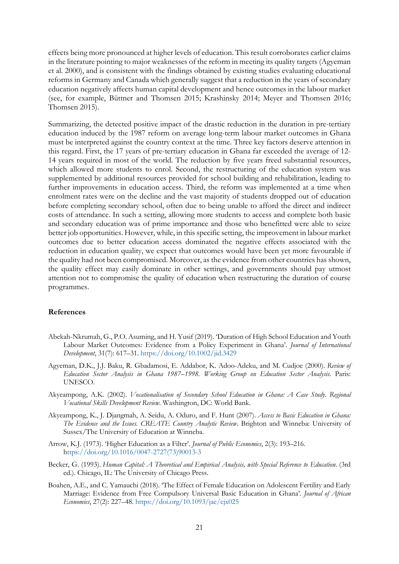effects being more pronounced at higher levels of education. This result corroborates earlier claims in the literature pointing to major weaknesses of the reform in meeting its quality targets (Agyeman et al. 2000), and is consistent with the findings obtained by existing studies evaluating educational reforms in Germany and Canada which generally suggest that a reduction in the years of secondary education negatively affects human capital development and hence outcomes in the labour market (see, for example, Büttner and Thomsen 2015; Krashinsky 2014; Meyer and Thomsen 2016; Thomsen 2015).

Summarizing, the detected positive impact of the drastic reduction in the duration in pre-tertiary education induced by the 1987 reform on average long-term labour market outcomes in Ghana must be interpreted against the country context at the time. Three key factors deserve attention in this regard. First, the 17 years of pre-tertiary education in Ghana far exceeded the average of 12- 14 years required in most of the world. The reduction by five years freed substantial resources, which allowed more students to enrol. Second, the restructuring of the education system was supplemented by additional resources provided for school building and rehabilitation, leading to further improvements in education access. Third, the reform was implemented at a time when enrolment rates were on the decline and the vast majority of students dropped out of education before completing secondary school, often due to being unable to afford the direct and indirect costs of attendance. In such a setting, allowing more students to access and complete both basic and secondary education was of prime importance and those who benefitted were able to seize better job opportunities. However, while, in this specific setting, the improvement in labour market outcomes due to better education access dominated the negative effects associated with the reduction in education quality, we expect that outcomes would have been yet more favourable if the quality had not been compromised. Moreover, as the evidence from other countries has shown, the quality effect may easily dominate in other settings, and governments should pay utmost attention not to compromise the quality of education when restructuring the duration of course programmes.

#### **References**

- Abekah-Nkrumah, G., P.O. Asuming, and H. Yusif (2019). 'Duration of High School Education and Youth Labour Market Outcomes: Evidence from a Policy Experiment in Ghana'. *Journal of International Development*, 31(7): 617–31.<https://doi.org/10.1002/jid.3429>
- Agyeman, D.K., J.J. Baku, R. Gbadamosi, E. Addabor, K. Adoo-Adeku, and M. Cudjoe (2000). *Review of Education Sector Analysis in Ghana 1987–1998. Working Group on Education Sector Analysis*. Paris: UNESCO.
- Akyeampong, A.K. (2002). *Vocationalisation of Secondary School Education in Ghana: A Case Study. Regional Vocational Skills Development Review*. Washington, DC: World Bank.
- Akyeampong, K., J. Djangmah, A. Seidu, A. Oduro, and F. Hunt (2007). *Access to Basic Education in Ghana: The Evidence and the Issues. CREATE Country Analytic Review*. Brighton and Winneba: University of Sussex/The University of Education at Winneba.
- Arrow, K.J. (1973). 'Higher Education as a Filter'. *Journal of Public Economics*, 2(3): 193–216. [https://doi.org/10.1016/0047-2727\(73\)90013-3](https://doi.org/10.1016/0047-2727(73)90013-3)
- Becker, G. (1993). *Human Capital: A Theoretical and Empirical Analysis, with Special Reference to Education*. (3rd ed.). Chicago, IL: The University of Chicago Press.
- Boahen, A.E., and C. Yamauchi (2018). 'The Effect of Female Education on Adolescent Fertility and Early Marriage: Evidence from Free Compulsory Universal Basic Education in Ghana'. *Journal of African Economies*, 27(2): 227–48. [https://doi.org/10.1093/jae/ejx025](https://doi.org/)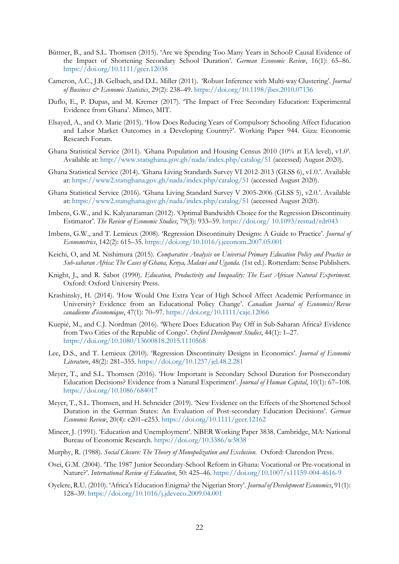- Büttner, B., and S.L. Thomsen (2015). 'Are we Spending Too Many Years in School? Causal Evidence of the Impact of Shortening Secondary School Duration'. *German Economic Review*, 16(1): 65–86. <https://doi.org/10.1111/geer.12038>
- Cameron, A.C., J.B. Gelbach, and D.L. Miller (2011). 'Robust Inference with Multi-way Clustering'. *Journal of Business & Economic Statistics*, 29(2): 238–49. <https://doi.org/10.1198/jbes.2010.07136>
- Duflo, E., P. Dupas, and M. Kremer (2017). 'The Impact of Free Secondary Education: Experimental Evidence from Ghana'. Mimeo, MIT.
- Elsayed, A., and O. Marie (2015). 'How Does Reducing Years of Compulsory Schooling Affect Education and Labor Market Outcomes in a Developing Country?'. Working Paper 944. Giza: Economic Research Forum.
- Ghana Statistical Service (2011). 'Ghana Population and Housing Census 2010 (10% at EA level), v1.0'. Available at:<http://www.statsghana.gov.gh/nada/index.php/catalog/51> (accessed) August 2020).
- Ghana Statistical Service (2014). 'Ghana Living Standards Survey VI 2012-2013 (GLSS 6), v1.0.'. Available at:<https://www2.statsghana.gov.gh/nada/index.php/catalog/51> (accessed August 2020).
- Ghana Statistical Service (2016). 'Ghana Living Standard Survey V 2005-2006 (GLSS 5), v2.0.'. Available at:<https://www2.statsghana.gov.gh/nada/index.php/catalog/51> (accessed August 2020).
- Imbens, G.W., and K. Kalyanaraman (2012). 'Optimal Bandwidth Choice for the Regression Discontinuity Estimator'. *The Review of Economic Studies*, 79(3): 933–59. https://doi.org/ [10.1093/restud/rdr043](https://doi.org/%2010.1093/restud/rdr043)
- Imbens, G.W., and T. Lemieux (2008). 'Regression Discontinuity Designs: A Guide to Practice'. *Journal of Econometrics*, 142(2): 615–35.<https://doi.org/10.1016/j.jeconom.2007.05.001>
- Keichi, O, and M. Nishimura (2015). *Comparative Analysis on Universal Primary Education Policy and Practice in Sub-saharan Africa: The Cases of Ghana, Kenya, Malawi and Uganda*. (1st ed.). Rotterdam: Sense Publishers.
- Knight, J., and R. Sabot (1990). *Education, Productivity and Inequality: The East African Natural Experiment*. Oxford: Oxford University Press.
- Krashinsky, H. (2014). 'How Would One Extra Year of High School Affect Academic Performance in University? Evidence from an Educational Policy Change'. *Canadian Journal of Economics/Revue canadienne d'économique*, 47(1): 70–97.<https://doi.org/10.1111/caje.12066>
- Kuepié, M., and C.J. Nordman (2016). 'Where Does Education Pay Off in Sub-Saharan Africa? Evidence from Two Cities of the Republic of Congo'. *Oxford Development Studies*, 44(1): 1–27. <https://doi.org/10.1080/13600818.2015.1110568>
- Lee, D.S., and T. Lemieux (2010). 'Regression Discontinuity Designs in Economics'. *Journal of Economic Literature*, 48(2): 281–355[. https://doi.org/10.1257/jel.48.2.281](https://doi.org/10.1257/jel.48.2.281)
- Meyer, T., and S.L. Thomsen (2016). 'How Important is Secondary School Duration for Postsecondary Education Decisions? Evidence from a Natural Experiment'. *Journal of Human Capital*, 10(1): 67–108. <https://doi.org/10.1086/684017>
- Meyer, T., S.L. Thomsen, and H. Schneider (2019). 'New Evidence on the Effects of the Shortened School Duration in the German States: An Evaluation of Post-secondary Education Decisions'. *German Economic Review*, 20(4): e201–e253.<https://doi.org/10.1111/geer.12162>
- Mincer, J. (1991). 'Education and Unemployment'. NBER Working Paper 3838. Cambridge, MA: National Bureau of Economic Research.<https://doi.org/10.3386/w3838>
- Murphy, R. (1988). *Social Closure: The Theory of Monopolization and Exclusion*. Oxford: Clarendon Press.
- Osei, G.M. (2004). 'The 1987 Junior Secondary-School Reform in Ghana: Vocational or Pre-vocational in Nature?'. *International Review of Education*, 50: 425–46.<https://doi.org/10.1007/s11159-004-4616-9>
- Oyelere, R.U. (2010). 'Africa's Education Enigma? the Nigerian Story'. *Journal of Development Economics*, 91(1): 128–39.<https://doi.org/10.1016/j.jdeveco.2009.04.001>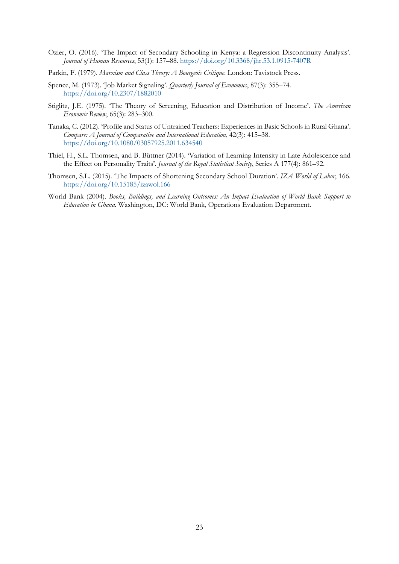- Ozier, O. (2016). 'The Impact of Secondary Schooling in Kenya: a Regression Discontinuity Analysis'. *Journal of Human Resources*, 53(1): 157–88[. https://doi.org/10.3368/jhr.53.1.0915-7407R](https://doi.org/10.3368/jhr.53.1.0915-7407R)
- Parkin, F. (1979). *Marxism and Class Theory: A Bourgeois Critique*. London: Tavistock Press.
- Spence, M. (1973). 'Job Market Signaling'. *Quarterly Journal of Economics*, 87(3): 355–74. <https://doi.org/10.2307/1882010>
- Stiglitz, J.E. (1975). 'The Theory of Screening, Education and Distribution of Income'. *The American Economic Review*, 65(3): 283–300.
- Tanaka, C. (2012). 'Profile and Status of Untrained Teachers: Experiences in Basic Schools in Rural Ghana'. *Compare: A Journal of Comparative and International Education*, 42(3): 415–38. <https://doi.org/10.1080/03057925.2011.634540>
- Thiel, H., S.L. Thomsen, and B. Büttner (2014). 'Variation of Learning Intensity in Late Adolescence and the Effect on Personality Traits'. *Journal of the Royal Statistical Society*, Series A 177(4): 861–92.
- Thomsen, S.L. (2015). 'The Impacts of Shortening Secondary School Duration'. *IZA World of Labor*, 166. <https://doi.org/10.15185/izawol.166>
- World Bank (2004). *Books, Buildings, and Learning Outcomes: An Impact Evaluation of World Bank Support to Education in Ghana*. Washington, DC: World Bank, Operations Evaluation Department.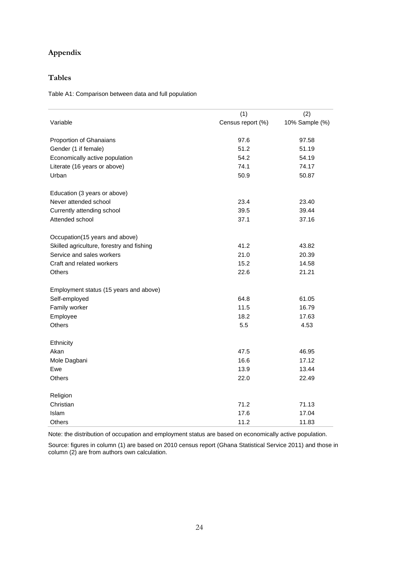## **Appendix**

## **Tables**

Table A1: Comparison between data and full population

|                                           | (1)               | (2)            |
|-------------------------------------------|-------------------|----------------|
| Variable                                  | Census report (%) | 10% Sample (%) |
| Proportion of Ghanaians                   | 97.6              | 97.58          |
| Gender (1 if female)                      | 51.2              | 51.19          |
| Economically active population            | 54.2              | 54.19          |
| Literate (16 years or above)              | 74.1              | 74.17          |
| Urban                                     | 50.9              | 50.87          |
| Education (3 years or above)              |                   |                |
| Never attended school                     | 23.4              | 23.40          |
| Currently attending school                | 39.5              | 39.44          |
| Attended school                           | 37.1              | 37.16          |
| Occupation(15 years and above)            |                   |                |
| Skilled agriculture, forestry and fishing | 41.2              | 43.82          |
| Service and sales workers                 | 21.0              | 20.39          |
| Craft and related workers                 | 15.2              | 14.58          |
| Others                                    | 22.6              | 21.21          |
| Employment status (15 years and above)    |                   |                |
| Self-employed                             | 64.8              | 61.05          |
| Family worker                             | 11.5              | 16.79          |
| Employee                                  | 18.2              | 17.63          |
| Others                                    | 5.5               | 4.53           |
| Ethnicity                                 |                   |                |
| Akan                                      | 47.5              | 46.95          |
| Mole Dagbani                              | 16.6              | 17.12          |
| Ewe                                       | 13.9              | 13.44          |
| <b>Others</b>                             | 22.0              | 22.49          |
| Religion                                  |                   |                |
| Christian                                 | 71.2              | 71.13          |
| Islam                                     | 17.6              | 17.04          |
| Others                                    | 11.2              | 11.83          |

Note: the distribution of occupation and employment status are based on economically active population.

Source: figures in column (1) are based on 2010 census report (Ghana Statistical Service 2011) and those in column (2) are from authors own calculation.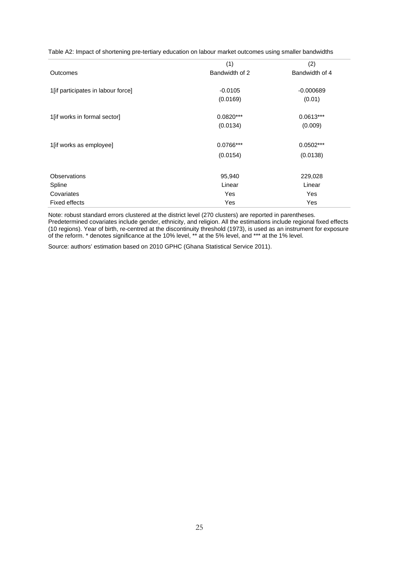Table A2: Impact of shortening pre-tertiary education on labour market outcomes using smaller bandwidths

|                                    | (1)            | (2)            |
|------------------------------------|----------------|----------------|
| Outcomes                           | Bandwidth of 2 | Bandwidth of 4 |
|                                    |                |                |
| 1[if participates in labour force] | $-0.0105$      | $-0.000689$    |
|                                    | (0.0169)       | (0.01)         |
|                                    |                |                |
| 1[if works in formal sector]       | $0.0820***$    | $0.0613***$    |
|                                    | (0.0134)       | (0.009)        |
|                                    |                |                |
| 1[if works as employee]            | 0.0766***      | $0.0502***$    |
|                                    | (0.0154)       | (0.0138)       |
|                                    |                |                |
| Observations                       | 95,940         | 229,028        |
| Spline                             | Linear         | Linear         |
| Covariates                         | Yes            | Yes            |
| Fixed effects                      | Yes            | Yes            |

Note: robust standard errors clustered at the district level (270 clusters) are reported in parentheses. Predetermined covariates include gender, ethnicity, and religion. All the estimations include regional fixed effects (10 regions). Year of birth, re-centred at the discontinuity threshold (1973), is used as an instrument for exposure of the reform. \* denotes significance at the 10% level, \*\* at the 5% level, and \*\*\* at the 1% level.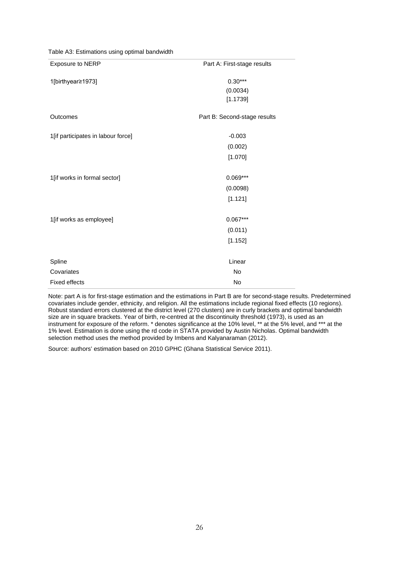| Exposure to NERP                   | Part A: First-stage results  |
|------------------------------------|------------------------------|
| 1[birthyear≥1973]                  | $0.30***$                    |
|                                    | (0.0034)                     |
|                                    | [1.1739]                     |
| Outcomes                           | Part B: Second-stage results |
| 1[if participates in labour force] | $-0.003$                     |
|                                    | (0.002)                      |
|                                    | [1.070]                      |
| 1[if works in formal sector]       | $0.069***$                   |
|                                    | (0.0098)                     |
|                                    | [1.121]                      |
| 1[if works as employee]            | $0.067***$                   |
|                                    | (0.011)                      |
|                                    | [1.152]                      |
| Spline                             | Linear                       |
| Covariates                         | <b>No</b>                    |
| <b>Fixed effects</b>               | No                           |

Table A3: Estimations using optimal bandwidth

Note: part A is for first-stage estimation and the estimations in Part B are for second-stage results. Predetermined covariates include gender, ethnicity, and religion. All the estimations include regional fixed effects (10 regions). Robust standard errors clustered at the district level (270 clusters) are in curly brackets and optimal bandwidth size are in square brackets. Year of birth, re-centred at the discontinuity threshold (1973), is used as an instrument for exposure of the reform. \* denotes significance at the 10% level, \*\* at the 5% level, and \*\*\* at the 1% level. Estimation is done using the rd code in STATA provided by Austin Nicholas. Optimal bandwidth selection method uses the method provided by Imbens and Kalyanaraman (2012).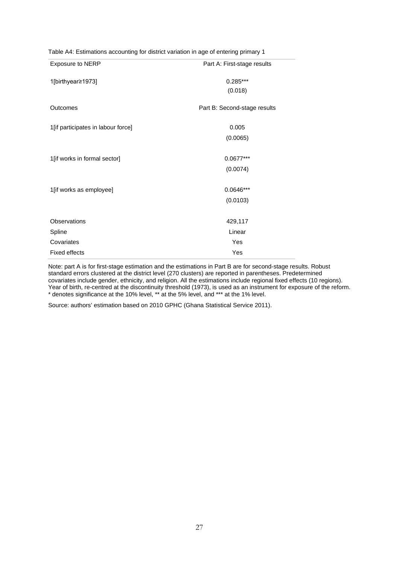| <b>Exposure to NERP</b>            | Part A: First-stage results  |
|------------------------------------|------------------------------|
| 1[birthyear≥1973]                  | $0.285***$                   |
|                                    | (0.018)                      |
| Outcomes                           | Part B: Second-stage results |
| 1[if participates in labour force] | 0.005                        |
|                                    | (0.0065)                     |
| 1[if works in formal sector]       | 0.0677***                    |
|                                    | (0.0074)                     |
|                                    |                              |
| 1[if works as employee]            | $0.0646***$                  |
|                                    | (0.0103)                     |
| <b>Observations</b>                | 429,117                      |
| Spline                             | Linear                       |
| Covariates                         | Yes                          |
| <b>Fixed effects</b>               | Yes                          |

Table A4: Estimations accounting for district variation in age of entering primary 1

Note: part A is for first-stage estimation and the estimations in Part B are for second-stage results. Robust standard errors clustered at the district level (270 clusters) are reported in parentheses. Predetermined covariates include gender, ethnicity, and religion. All the estimations include regional fixed effects (10 regions). Year of birth, re-centred at the discontinuity threshold (1973), is used as an instrument for exposure of the reform. \* denotes significance at the 10% level, \*\* at the 5% level, and \*\*\* at the 1% level.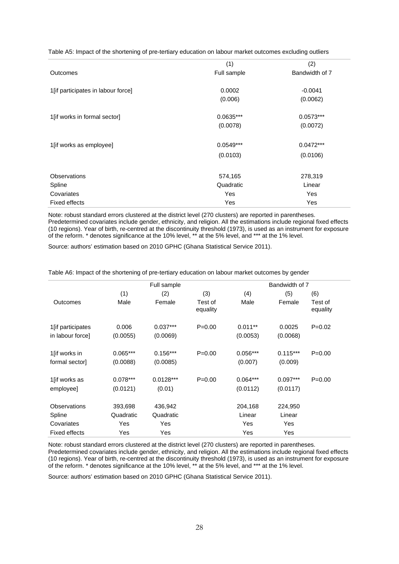Table A5: Impact of the shortening of pre-tertiary education on labour market outcomes excluding outliers

|                                    | (1)         | (2)            |
|------------------------------------|-------------|----------------|
| Outcomes                           | Full sample | Bandwidth of 7 |
| 1[if participates in labour force] | 0.0002      | $-0.0041$      |
|                                    | (0.006)     | (0.0062)       |
|                                    |             |                |
| 1[if works in formal sector]       | $0.0635***$ | $0.0573***$    |
|                                    | (0.0078)    | (0.0072)       |
|                                    |             |                |
| 1[if works as employee]            | $0.0549***$ | $0.0472***$    |
|                                    | (0.0103)    | (0.0106)       |
|                                    |             |                |
| <b>Observations</b>                | 574,165     | 278,319        |
| Spline                             | Quadratic   | Linear         |
| Covariates                         | Yes         | Yes            |
| <b>Fixed effects</b>               | Yes         | Yes            |

Note: robust standard errors clustered at the district level (270 clusters) are reported in parentheses. Predetermined covariates include gender, ethnicity, and religion. All the estimations include regional fixed effects (10 regions). Year of birth, re-centred at the discontinuity threshold (1973), is used as an instrument for exposure of the reform. \* denotes significance at the 10% level, \*\* at the 5% level, and \*\*\* at the 1% level.

Source: authors' estimation based on 2010 GPHC (Ghana Statistical Service 2011).

|                      | Full sample |             |                     | Bandwidth of 7 |            |                     |
|----------------------|-------------|-------------|---------------------|----------------|------------|---------------------|
|                      | (1)         | (2)         | (3)                 | (4)            | (5)        | (6)                 |
| <b>Outcomes</b>      | Male        | Female      | Test of<br>equality | Male           | Female     | Test of<br>equality |
| 1 [if participates]  | 0.006       | $0.037***$  | $P = 0.00$          | $0.011**$      | 0.0025     | $P=0.02$            |
| in labour force]     | (0.0055)    | (0.0069)    |                     | (0.0053)       | (0.0068)   |                     |
| 1[if works in        | $0.065***$  | $0.156***$  | $P = 0.00$          | $0.056***$     | $0.115***$ | $P=0.00$            |
| formal sector]       | (0.0088)    | (0.0085)    |                     | (0.007)        | (0.009)    |                     |
| 1 [if works as       | $0.078***$  | $0.0128***$ | $P = 0.00$          | $0.064***$     | $0.097***$ | $P = 0.00$          |
| employee]            | (0.0121)    | (0.01)      |                     | (0.0112)       | (0.0117)   |                     |
| Observations         | 393,698     | 436,942     |                     | 204,168        | 224,950    |                     |
| Spline               | Quadratic   | Quadratic   |                     | Linear         | Linear     |                     |
| Covariates           | Yes         | Yes         |                     | Yes            | Yes        |                     |
| <b>Fixed effects</b> | Yes         | Yes         |                     | Yes            | Yes        |                     |

Table A6: Impact of the shortening of pre-tertiary education on labour market outcomes by gender

Note: robust standard errors clustered at the district level (270 clusters) are reported in parentheses. Predetermined covariates include gender, ethnicity, and religion. All the estimations include regional fixed effects (10 regions). Year of birth, re-centred at the discontinuity threshold (1973), is used as an instrument for exposure of the reform. \* denotes significance at the 10% level, \*\* at the 5% level, and \*\*\* at the 1% level.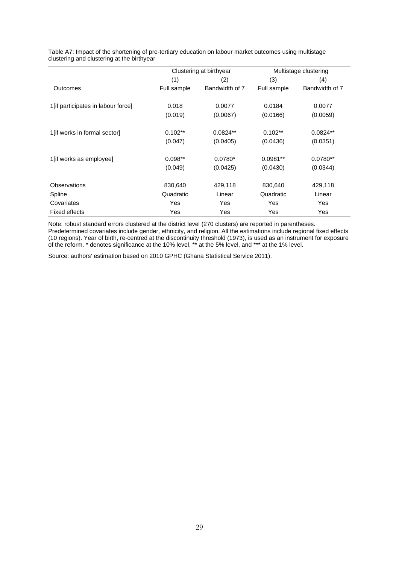|                                     | Clustering at birthyear |                | Multistage clustering |                |
|-------------------------------------|-------------------------|----------------|-----------------------|----------------|
|                                     | (1)                     | (2)            | (3)                   | (4)            |
| <b>Outcomes</b>                     | Full sample             | Bandwidth of 7 | Full sample           | Bandwidth of 7 |
| 1 [if participates in labour force] | 0.018                   | 0.0077         | 0.0184                | 0.0077         |
|                                     | (0.019)                 | (0.0067)       | (0.0166)              | (0.0059)       |
| 1 [if works in formal sector]       | $0.102**$               | $0.0824**$     | $0.102**$             | $0.0824**$     |
|                                     | (0.047)                 | (0.0405)       | (0.0436)              | (0.0351)       |
| 1 [if works as employee]            | $0.098**$               | $0.0780*$      | $0.0981**$            | $0.0780**$     |
|                                     | (0.049)                 | (0.0425)       | (0.0430)              | (0.0344)       |
| Observations                        | 830,640                 | 429,118        | 830,640               | 429,118        |
| Spline                              | Quadratic               | Linear         | Quadratic             | Linear         |
| Covariates                          | Yes                     | <b>Yes</b>     | Yes                   | Yes            |
| Fixed effects                       | Yes                     | Yes            | Yes                   | Yes            |

Table A7: Impact of the shortening of pre-tertiary education on labour market outcomes using multistage clustering and clustering at the birthyear

Note: robust standard errors clustered at the district level (270 clusters) are reported in parentheses. Predetermined covariates include gender, ethnicity, and religion. All the estimations include regional fixed effects (10 regions). Year of birth, re-centred at the discontinuity threshold (1973), is used as an instrument for exposure of the reform. \* denotes significance at the 10% level, \*\* at the 5% level, and \*\*\* at the 1% level.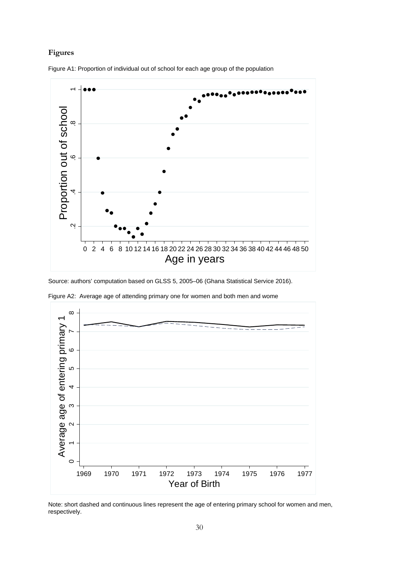## **Figures**



Figure A1: Proportion of individual out of school for each age group of the population

Source: authors' computation based on GLSS 5, 2005–06 (Ghana Statistical Service 2016).



Figure A2: Average age of attending primary one for women and both men and wome

Note: short dashed and continuous lines represent the age of entering primary school for women and men, respectively.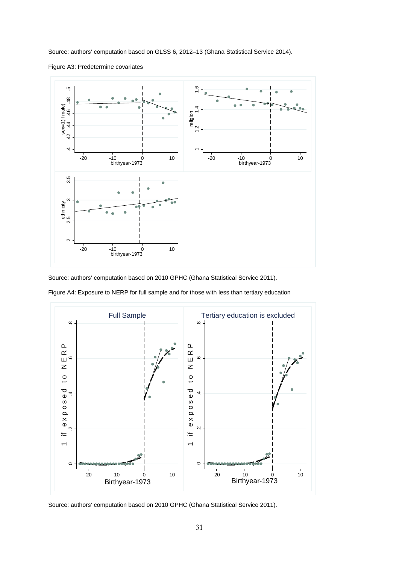Source: authors' computation based on GLSS 6, 2012–13 (Ghana Statistical Service 2014).